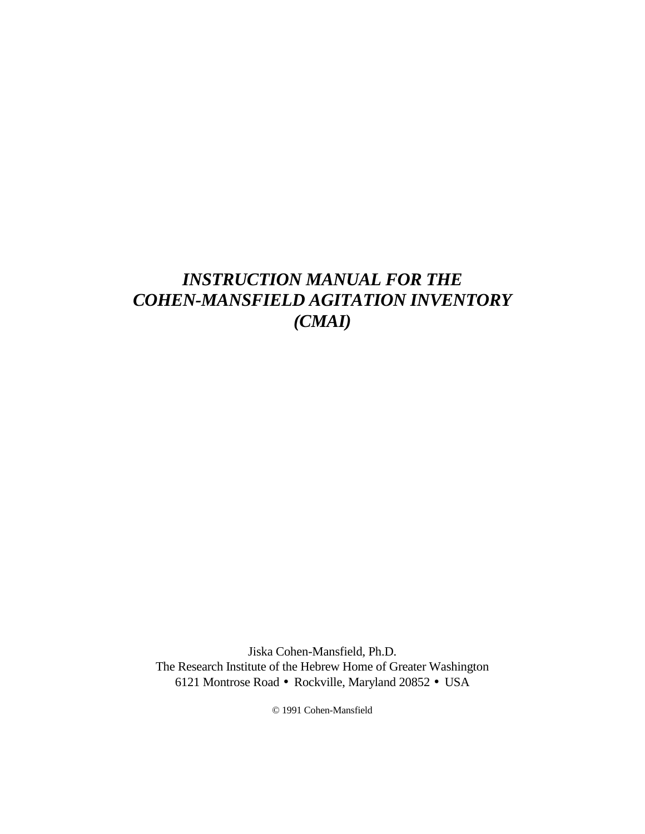## *INSTRUCTION MANUAL FOR THE COHEN-MANSFIELD AGITATION INVENTORY (CMAI)*

 Jiska Cohen-Mansfield, Ph.D. The Research Institute of the Hebrew Home of Greater Washington 6121 Montrose Road • Rockville, Maryland 20852 • USA

© 1991 Cohen-Mansfield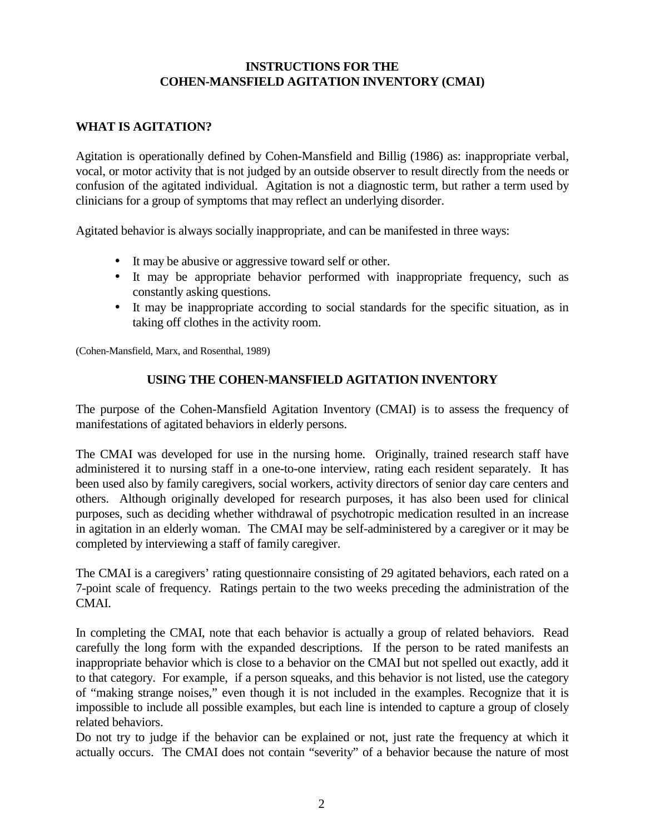## **INSTRUCTIONS FOR THE COHEN-MANSFIELD AGITATION INVENTORY (CMAI)**

## **WHAT IS AGITATION?**

Agitation is operationally defined by Cohen-Mansfield and Billig (1986) as: inappropriate verbal, vocal, or motor activity that is not judged by an outside observer to result directly from the needs or confusion of the agitated individual. Agitation is not a diagnostic term, but rather a term used by clinicians for a group of symptoms that may reflect an underlying disorder.

Agitated behavior is always socially inappropriate, and can be manifested in three ways:

- It may be abusive or aggressive toward self or other.
- It may be appropriate behavior performed with inappropriate frequency, such as constantly asking questions.
- It may be inappropriate according to social standards for the specific situation, as in taking off clothes in the activity room.

(Cohen-Mansfield, Marx, and Rosenthal, 1989)

## **USING THE COHEN-MANSFIELD AGITATION INVENTORY**

The purpose of the Cohen-Mansfield Agitation Inventory (CMAI) is to assess the frequency of manifestations of agitated behaviors in elderly persons.

The CMAI was developed for use in the nursing home. Originally, trained research staff have administered it to nursing staff in a one-to-one interview, rating each resident separately. It has been used also by family caregivers, social workers, activity directors of senior day care centers and others. Although originally developed for research purposes, it has also been used for clinical purposes, such as deciding whether withdrawal of psychotropic medication resulted in an increase in agitation in an elderly woman. The CMAI may be self-administered by a caregiver or it may be completed by interviewing a staff of family caregiver.

The CMAI is a caregivers' rating questionnaire consisting of 29 agitated behaviors, each rated on a 7-point scale of frequency. Ratings pertain to the two weeks preceding the administration of the CMAI.

In completing the CMAI, note that each behavior is actually a group of related behaviors. Read carefully the long form with the expanded descriptions. If the person to be rated manifests an inappropriate behavior which is close to a behavior on the CMAI but not spelled out exactly, add it to that category. For example, if a person squeaks, and this behavior is not listed, use the category of "making strange noises," even though it is not included in the examples. Recognize that it is impossible to include all possible examples, but each line is intended to capture a group of closely related behaviors.

Do not try to judge if the behavior can be explained or not, just rate the frequency at which it actually occurs. The CMAI does not contain "severity" of a behavior because the nature of most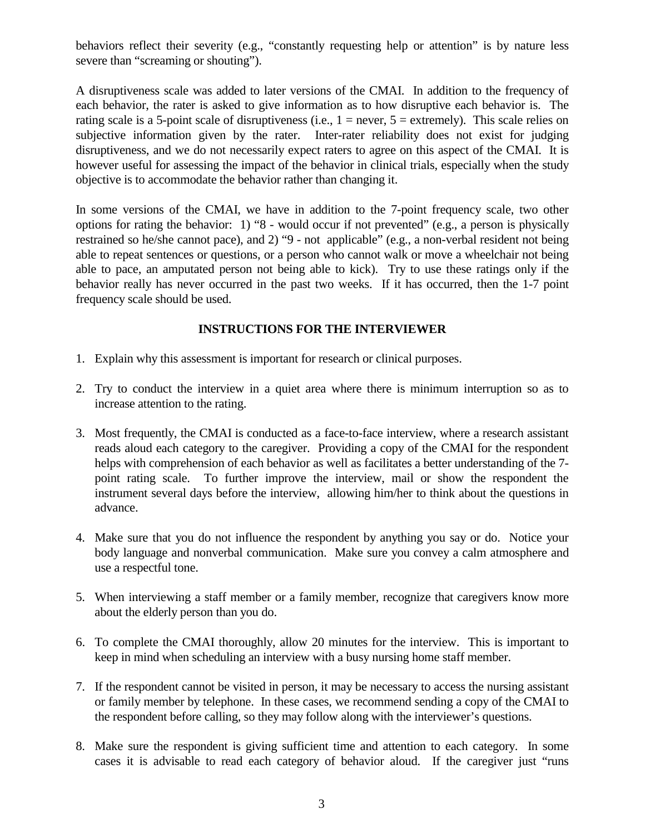behaviors reflect their severity (e.g., "constantly requesting help or attention" is by nature less severe than "screaming or shouting").

A disruptiveness scale was added to later versions of the CMAI. In addition to the frequency of each behavior, the rater is asked to give information as to how disruptive each behavior is. The rating scale is a 5-point scale of disruptiveness (i.e.,  $1 =$  never,  $5 =$  extremely). This scale relies on subjective information given by the rater. Inter-rater reliability does not exist for judging disruptiveness, and we do not necessarily expect raters to agree on this aspect of the CMAI. It is however useful for assessing the impact of the behavior in clinical trials, especially when the study objective is to accommodate the behavior rather than changing it.

In some versions of the CMAI, we have in addition to the 7-point frequency scale, two other options for rating the behavior: 1) "8 - would occur if not prevented" (e.g., a person is physically restrained so he/she cannot pace), and 2) "9 - not applicable" (e.g., a non-verbal resident not being able to repeat sentences or questions, or a person who cannot walk or move a wheelchair not being able to pace, an amputated person not being able to kick). Try to use these ratings only if the behavior really has never occurred in the past two weeks. If it has occurred, then the 1-7 point frequency scale should be used.

#### **INSTRUCTIONS FOR THE INTERVIEWER**

- 1. Explain why this assessment is important for research or clinical purposes.
- 2. Try to conduct the interview in a quiet area where there is minimum interruption so as to increase attention to the rating.
- 3. Most frequently, the CMAI is conducted as a face-to-face interview, where a research assistant reads aloud each category to the caregiver. Providing a copy of the CMAI for the respondent helps with comprehension of each behavior as well as facilitates a better understanding of the 7 point rating scale. To further improve the interview, mail or show the respondent the instrument several days before the interview, allowing him/her to think about the questions in advance.
- 4. Make sure that you do not influence the respondent by anything you say or do. Notice your body language and nonverbal communication. Make sure you convey a calm atmosphere and use a respectful tone.
- 5. When interviewing a staff member or a family member, recognize that caregivers know more about the elderly person than you do.
- 6. To complete the CMAI thoroughly, allow 20 minutes for the interview. This is important to keep in mind when scheduling an interview with a busy nursing home staff member.
- 7. If the respondent cannot be visited in person, it may be necessary to access the nursing assistant or family member by telephone. In these cases, we recommend sending a copy of the CMAI to the respondent before calling, so they may follow along with the interviewer's questions.
- 8. Make sure the respondent is giving sufficient time and attention to each category. In some cases it is advisable to read each category of behavior aloud. If the caregiver just "runs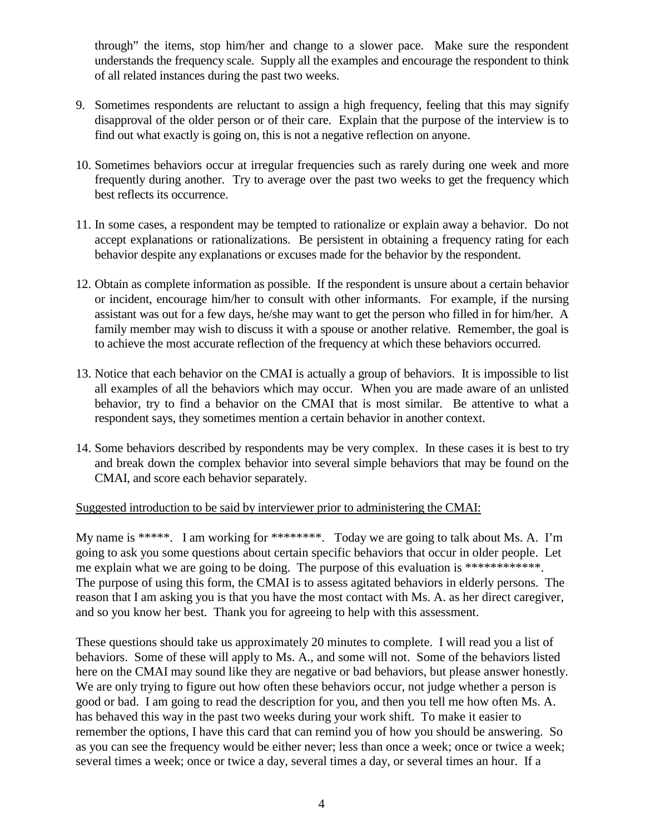through" the items, stop him/her and change to a slower pace. Make sure the respondent understands the frequency scale. Supply all the examples and encourage the respondent to think of all related instances during the past two weeks.

- 9. Sometimes respondents are reluctant to assign a high frequency, feeling that this may signify disapproval of the older person or of their care. Explain that the purpose of the interview is to find out what exactly is going on, this is not a negative reflection on anyone.
- 10. Sometimes behaviors occur at irregular frequencies such as rarely during one week and more frequently during another. Try to average over the past two weeks to get the frequency which best reflects its occurrence.
- 11. In some cases, a respondent may be tempted to rationalize or explain away a behavior. Do not accept explanations or rationalizations. Be persistent in obtaining a frequency rating for each behavior despite any explanations or excuses made for the behavior by the respondent.
- 12. Obtain as complete information as possible. If the respondent is unsure about a certain behavior or incident, encourage him/her to consult with other informants. For example, if the nursing assistant was out for a few days, he/she may want to get the person who filled in for him/her. A family member may wish to discuss it with a spouse or another relative. Remember, the goal is to achieve the most accurate reflection of the frequency at which these behaviors occurred.
- 13. Notice that each behavior on the CMAI is actually a group of behaviors. It is impossible to list all examples of all the behaviors which may occur. When you are made aware of an unlisted behavior, try to find a behavior on the CMAI that is most similar. Be attentive to what a respondent says, they sometimes mention a certain behavior in another context.
- 14. Some behaviors described by respondents may be very complex. In these cases it is best to try and break down the complex behavior into several simple behaviors that may be found on the CMAI, and score each behavior separately.

## Suggested introduction to be said by interviewer prior to administering the CMAI:

My name is \*\*\*\*\*. I am working for \*\*\*\*\*\*\*\*. Today we are going to talk about Ms. A. I'm going to ask you some questions about certain specific behaviors that occur in older people. Let me explain what we are going to be doing. The purpose of this evaluation is \*\*\*\*\*\*\*\*\*\*\*\*. The purpose of using this form, the CMAI is to assess agitated behaviors in elderly persons. The reason that I am asking you is that you have the most contact with Ms. A. as her direct caregiver, and so you know her best. Thank you for agreeing to help with this assessment.

These questions should take us approximately 20 minutes to complete. I will read you a list of behaviors. Some of these will apply to Ms. A., and some will not. Some of the behaviors listed here on the CMAI may sound like they are negative or bad behaviors, but please answer honestly. We are only trying to figure out how often these behaviors occur, not judge whether a person is good or bad. I am going to read the description for you, and then you tell me how often Ms. A. has behaved this way in the past two weeks during your work shift. To make it easier to remember the options, I have this card that can remind you of how you should be answering. So as you can see the frequency would be either never; less than once a week; once or twice a week; several times a week; once or twice a day, several times a day, or several times an hour. If a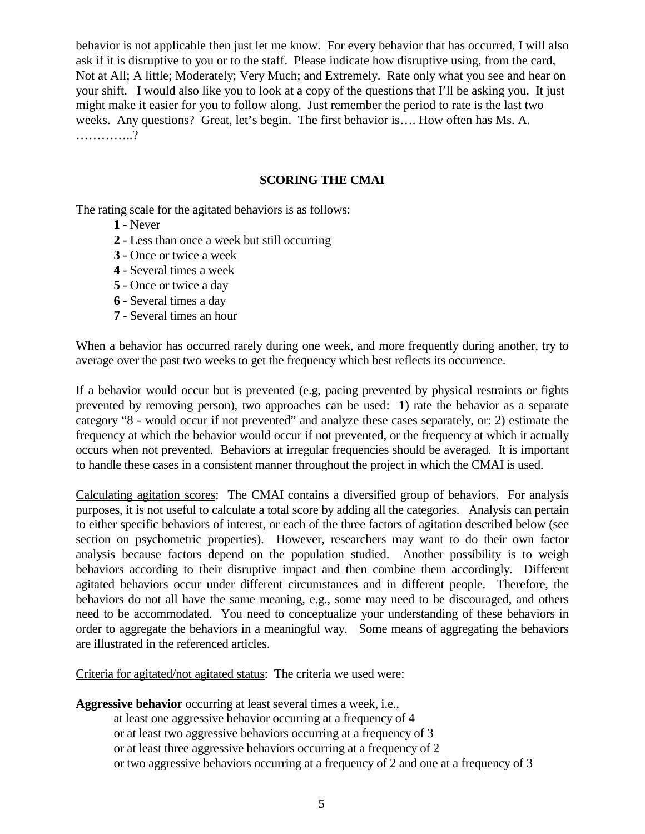behavior is not applicable then just let me know. For every behavior that has occurred, I will also ask if it is disruptive to you or to the staff. Please indicate how disruptive using, from the card, Not at All; A little; Moderately; Very Much; and Extremely. Rate only what you see and hear on your shift. I would also like you to look at a copy of the questions that I'll be asking you. It just might make it easier for you to follow along. Just remember the period to rate is the last two weeks. Any questions? Great, let's begin. The first behavior is…. How often has Ms. A. …………..?

## **SCORING THE CMAI**

The rating scale for the agitated behaviors is as follows:

- **1** Never
- **2** Less than once a week but still occurring
- **3** Once or twice a week
- **4** Several times a week
- **5** Once or twice a day
- **6** Several times a day
- **7** Several times an hour

When a behavior has occurred rarely during one week, and more frequently during another, try to average over the past two weeks to get the frequency which best reflects its occurrence.

If a behavior would occur but is prevented (e.g, pacing prevented by physical restraints or fights prevented by removing person), two approaches can be used: 1) rate the behavior as a separate category "8 - would occur if not prevented" and analyze these cases separately, or: 2) estimate the frequency at which the behavior would occur if not prevented, or the frequency at which it actually occurs when not prevented. Behaviors at irregular frequencies should be averaged. It is important to handle these cases in a consistent manner throughout the project in which the CMAI is used.

Calculating agitation scores: The CMAI contains a diversified group of behaviors. For analysis purposes, it is not useful to calculate a total score by adding all the categories. Analysis can pertain to either specific behaviors of interest, or each of the three factors of agitation described below (see section on psychometric properties). However, researchers may want to do their own factor analysis because factors depend on the population studied. Another possibility is to weigh behaviors according to their disruptive impact and then combine them accordingly. Different agitated behaviors occur under different circumstances and in different people. Therefore, the behaviors do not all have the same meaning, e.g., some may need to be discouraged, and others need to be accommodated. You need to conceptualize your understanding of these behaviors in order to aggregate the behaviors in a meaningful way. Some means of aggregating the behaviors are illustrated in the referenced articles.

Criteria for agitated/not agitated status: The criteria we used were:

**Aggressive behavior** occurring at least several times a week, i.e.,

at least one aggressive behavior occurring at a frequency of 4

or at least two aggressive behaviors occurring at a frequency of 3

or at least three aggressive behaviors occurring at a frequency of 2

or two aggressive behaviors occurring at a frequency of 2 and one at a frequency of 3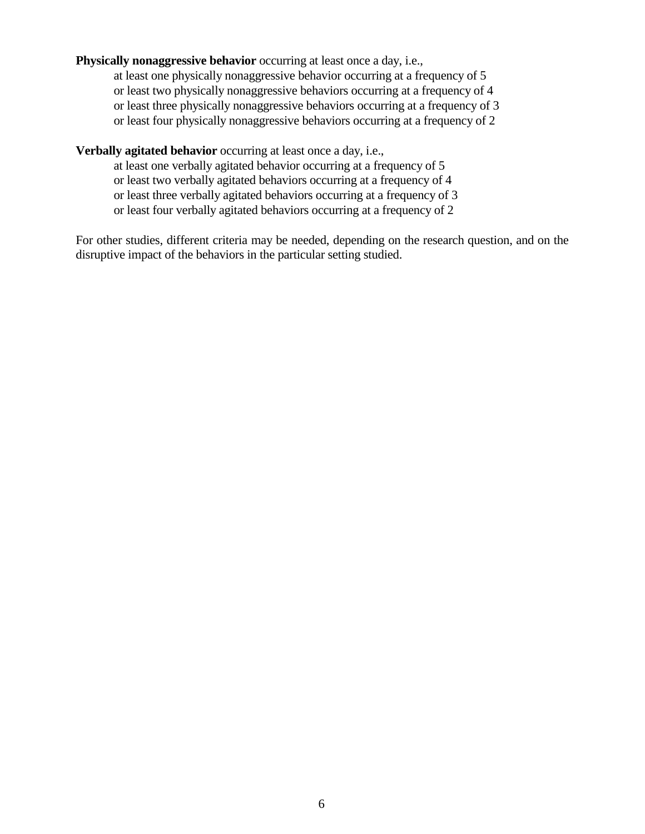#### **Physically nonaggressive behavior** occurring at least once a day, i.e.,

 at least one physically nonaggressive behavior occurring at a frequency of 5 or least two physically nonaggressive behaviors occurring at a frequency of 4 or least three physically nonaggressive behaviors occurring at a frequency of 3 or least four physically nonaggressive behaviors occurring at a frequency of 2

#### **Verbally agitated behavior** occurring at least once a day, i.e.,

at least one verbally agitated behavior occurring at a frequency of 5

or least two verbally agitated behaviors occurring at a frequency of 4

or least three verbally agitated behaviors occurring at a frequency of 3

or least four verbally agitated behaviors occurring at a frequency of 2

For other studies, different criteria may be needed, depending on the research question, and on the disruptive impact of the behaviors in the particular setting studied.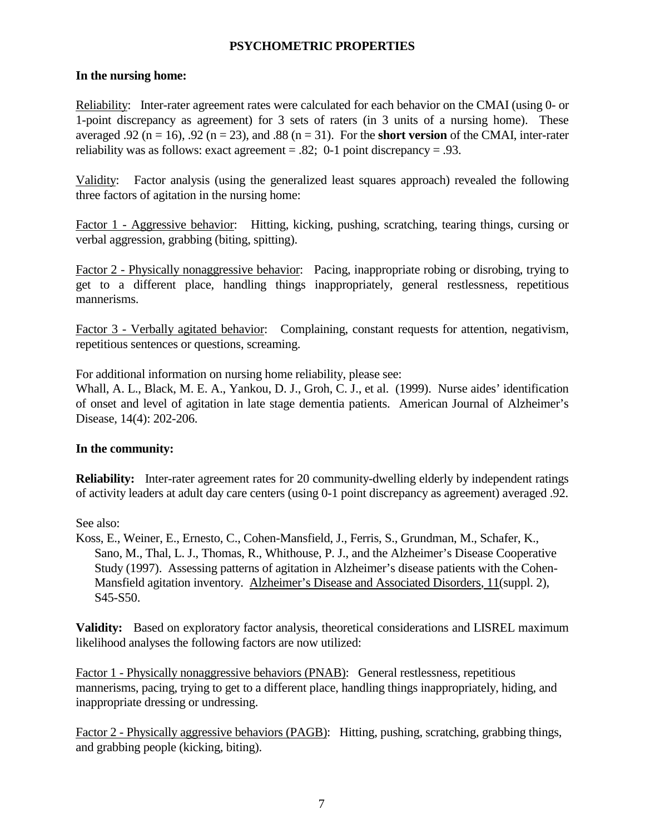#### **PSYCHOMETRIC PROPERTIES**

#### **In the nursing home:**

Reliability: Inter-rater agreement rates were calculated for each behavior on the CMAI (using 0- or 1-point discrepancy as agreement) for 3 sets of raters (in 3 units of a nursing home). These averaged .92 ( $n = 16$ ), .92 ( $n = 23$ ), and .88 ( $n = 31$ ). For the **short version** of the CMAI, inter-rater reliability was as follows: exact agreement = .82; 0-1 point discrepancy = .93.

Validity: Factor analysis (using the generalized least squares approach) revealed the following three factors of agitation in the nursing home:

Factor 1 - Aggressive behavior: Hitting, kicking, pushing, scratching, tearing things, cursing or verbal aggression, grabbing (biting, spitting).

Factor 2 - Physically nonaggressive behavior: Pacing, inappropriate robing or disrobing, trying to get to a different place, handling things inappropriately, general restlessness, repetitious mannerisms.

Factor 3 - Verbally agitated behavior: Complaining, constant requests for attention, negativism, repetitious sentences or questions, screaming.

For additional information on nursing home reliability, please see:

Whall, A. L., Black, M. E. A., Yankou, D. J., Groh, C. J., et al. (1999). Nurse aides' identification of onset and level of agitation in late stage dementia patients. American Journal of Alzheimer's Disease, 14(4): 202-206.

## **In the community:**

**Reliability:** Inter-rater agreement rates for 20 community-dwelling elderly by independent ratings of activity leaders at adult day care centers (using 0-1 point discrepancy as agreement) averaged .92.

See also:

Koss, E., Weiner, E., Ernesto, C., Cohen-Mansfield, J., Ferris, S., Grundman, M., Schafer, K., Sano, M., Thal, L. J., Thomas, R., Whithouse, P. J., and the Alzheimer's Disease Cooperative Study (1997). Assessing patterns of agitation in Alzheimer's disease patients with the Cohen-Mansfield agitation inventory. Alzheimer's Disease and Associated Disorders, 11(suppl. 2), S45-S50.

**Validity:** Based on exploratory factor analysis, theoretical considerations and LISREL maximum likelihood analyses the following factors are now utilized:

Factor 1 - Physically nonaggressive behaviors (PNAB): General restlessness, repetitious mannerisms, pacing, trying to get to a different place, handling things inappropriately, hiding, and inappropriate dressing or undressing.

Factor 2 - Physically aggressive behaviors (PAGB): Hitting, pushing, scratching, grabbing things, and grabbing people (kicking, biting).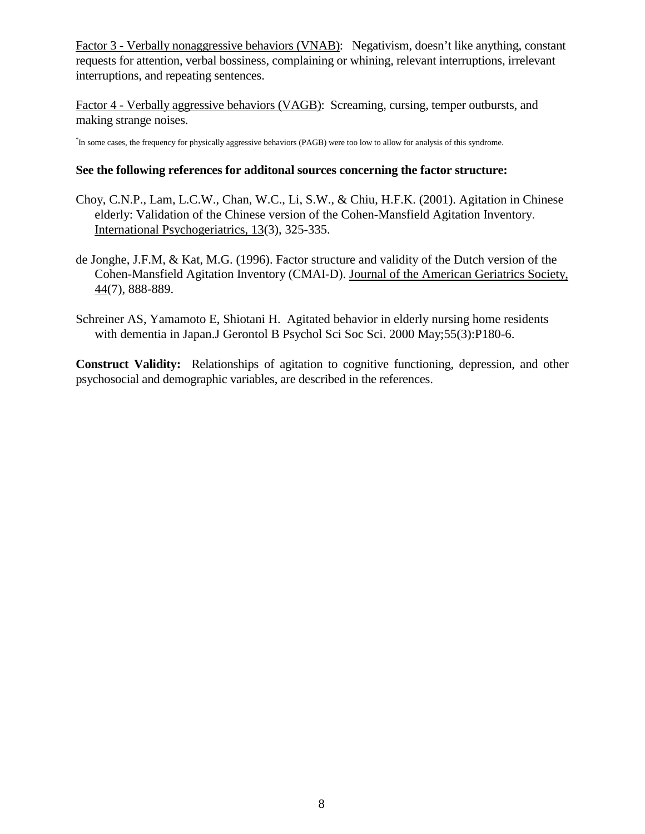Factor 3 - Verbally nonaggressive behaviors (VNAB): Negativism, doesn't like anything, constant requests for attention, verbal bossiness, complaining or whining, relevant interruptions, irrelevant interruptions, and repeating sentences.

Factor 4 - Verbally aggressive behaviors (VAGB): Screaming, cursing, temper outbursts, and making strange noises.

\* In some cases, the frequency for physically aggressive behaviors (PAGB) were too low to allow for analysis of this syndrome.

#### **See the following references for additonal sources concerning the factor structure:**

- Choy, C.N.P., Lam, L.C.W., Chan, W.C., Li, S.W., & Chiu, H.F.K. (2001). Agitation in Chinese elderly: Validation of the Chinese version of the Cohen-Mansfield Agitation Inventory. International Psychogeriatrics, 13(3), 325-335.
- de Jonghe, J.F.M, & Kat, M.G. (1996). Factor structure and validity of the Dutch version of the Cohen-Mansfield Agitation Inventory (CMAI-D). Journal of the American Geriatrics Society, 44(7), 888-889.
- Schreiner AS, Yamamoto E, Shiotani H. Agitated behavior in elderly nursing home residents with dementia in Japan.J Gerontol B Psychol Sci Soc Sci. 2000 May;55(3):P180-6.

**Construct Validity:** Relationships of agitation to cognitive functioning, depression, and other psychosocial and demographic variables, are described in the references.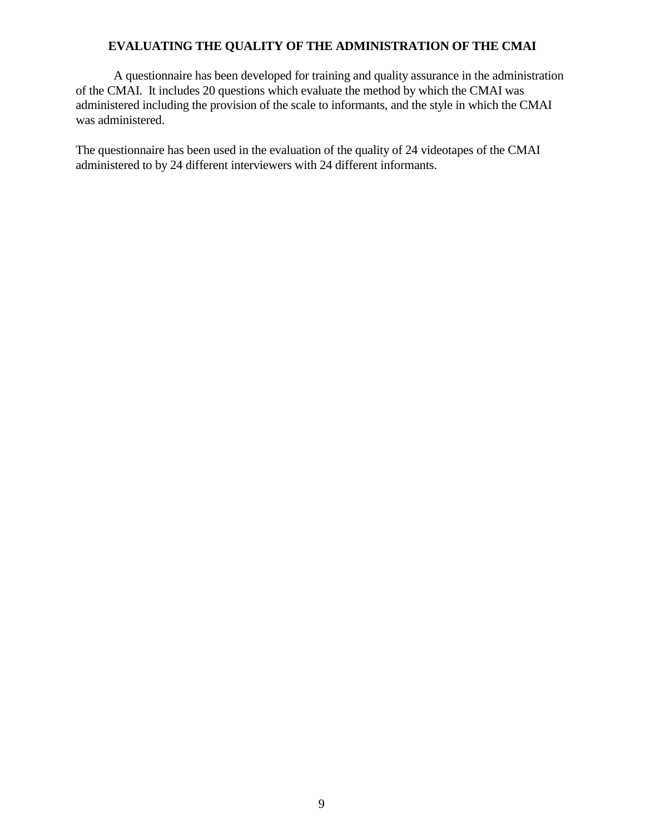## **EVALUATING THE QUALITY OF THE ADMINISTRATION OF THE CMAI**

 A questionnaire has been developed for training and quality assurance in the administration of the CMAI. It includes 20 questions which evaluate the method by which the CMAI was administered including the provision of the scale to informants, and the style in which the CMAI was administered.

The questionnaire has been used in the evaluation of the quality of 24 videotapes of the CMAI administered to by 24 different interviewers with 24 different informants.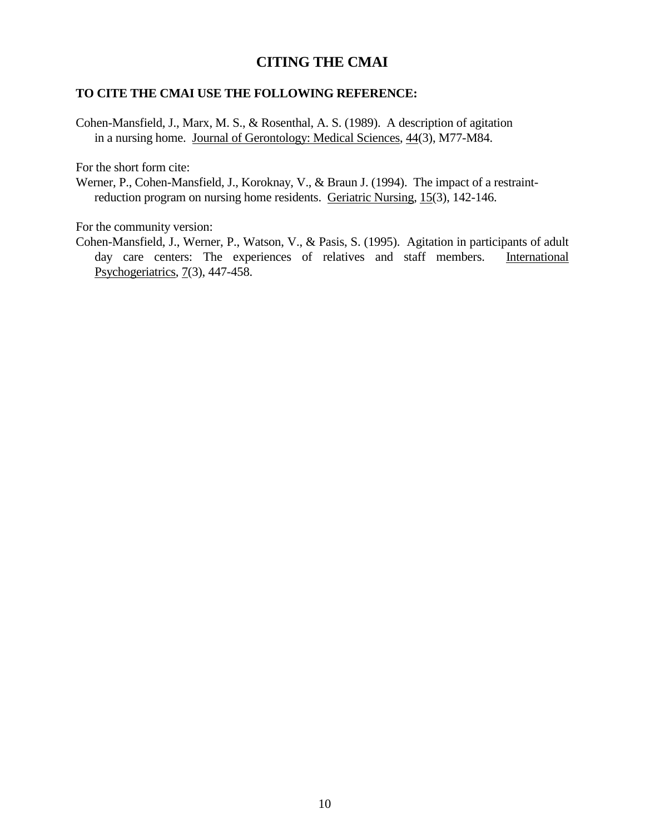## **CITING THE CMAI**

#### **TO CITE THE CMAI USE THE FOLLOWING REFERENCE:**

Cohen-Mansfield, J., Marx, M. S., & Rosenthal, A. S. (1989). A description of agitation in a nursing home. Journal of Gerontology: Medical Sciences, 44(3), M77-M84.

For the short form cite:

Werner, P., Cohen-Mansfield, J., Koroknay, V., & Braun J. (1994). The impact of a restraint reduction program on nursing home residents. Geriatric Nursing, 15(3), 142-146.

For the community version:

Cohen-Mansfield, J., Werner, P., Watson, V., & Pasis, S. (1995). Agitation in participants of adult day care centers: The experiences of relatives and staff members. International Psychogeriatrics, 7(3), 447-458.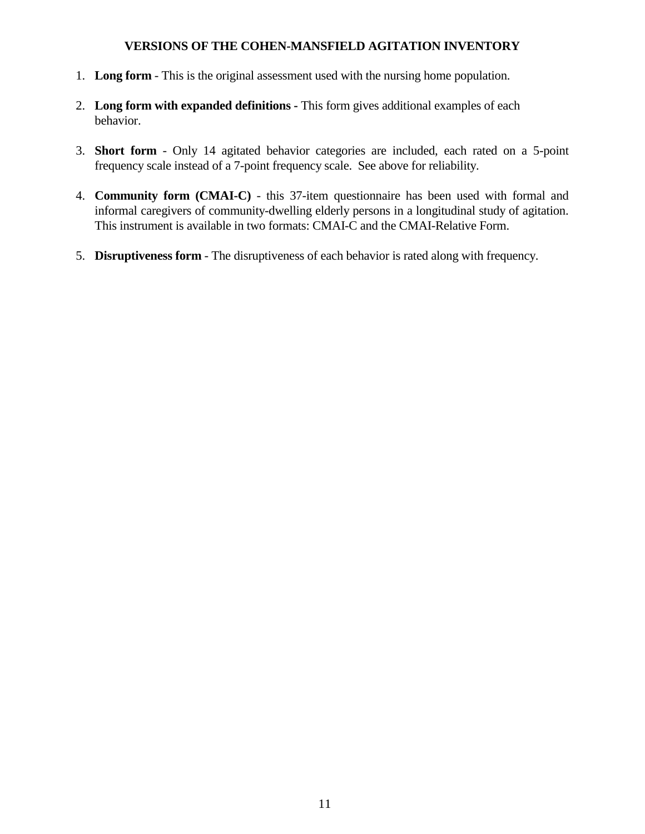## **VERSIONS OF THE COHEN-MANSFIELD AGITATION INVENTORY**

- 1. **Long form** This is the original assessment used with the nursing home population.
- 2. **Long form with expanded definitions** This form gives additional examples of each behavior.
- 3. **Short form** Only 14 agitated behavior categories are included, each rated on a 5-point frequency scale instead of a 7-point frequency scale. See above for reliability.
- 4. **Community form (CMAI-C)** this 37-item questionnaire has been used with formal and informal caregivers of community-dwelling elderly persons in a longitudinal study of agitation. This instrument is available in two formats: CMAI-C and the CMAI-Relative Form.
- 5. **Disruptiveness form**  The disruptiveness of each behavior is rated along with frequency.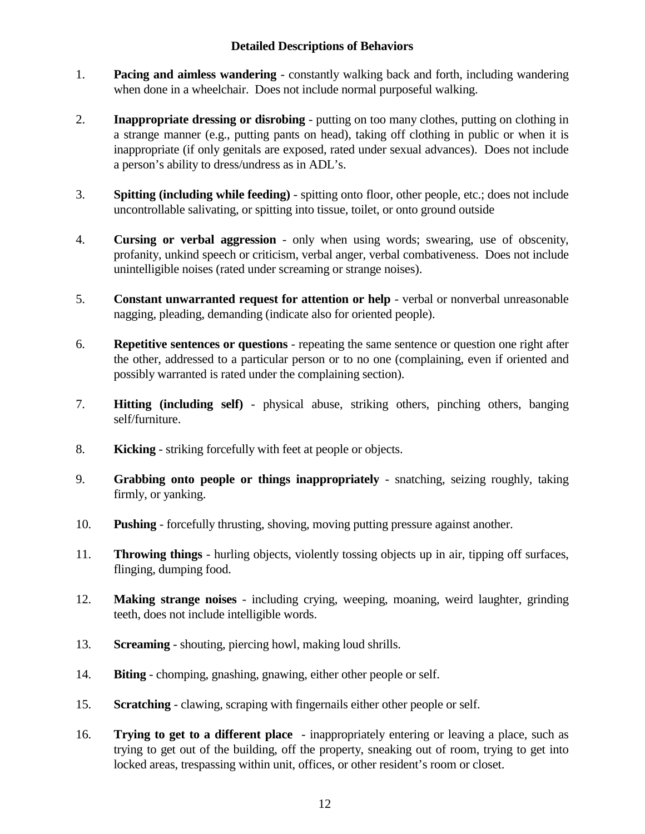## **Detailed Descriptions of Behaviors**

- 1. **Pacing and aimless wandering** constantly walking back and forth, including wandering when done in a wheelchair. Does not include normal purposeful walking.
- 2. **Inappropriate dressing or disrobing** putting on too many clothes, putting on clothing in a strange manner (e.g., putting pants on head), taking off clothing in public or when it is inappropriate (if only genitals are exposed, rated under sexual advances). Does not include a person's ability to dress/undress as in ADL's.
- 3. **Spitting (including while feeding)** spitting onto floor, other people, etc.; does not include uncontrollable salivating, or spitting into tissue, toilet, or onto ground outside
- 4. **Cursing or verbal aggression** only when using words; swearing, use of obscenity, profanity, unkind speech or criticism, verbal anger, verbal combativeness. Does not include unintelligible noises (rated under screaming or strange noises).
- 5. **Constant unwarranted request for attention or help** verbal or nonverbal unreasonable nagging, pleading, demanding (indicate also for oriented people).
- 6. **Repetitive sentences or questions** repeating the same sentence or question one right after the other, addressed to a particular person or to no one (complaining, even if oriented and possibly warranted is rated under the complaining section).
- 7. **Hitting (including self)** physical abuse, striking others, pinching others, banging self/furniture.
- 8. **Kicking** striking forcefully with feet at people or objects.
- 9. **Grabbing onto people or things inappropriately** snatching, seizing roughly, taking firmly, or yanking.
- 10. **Pushing** forcefully thrusting, shoving, moving putting pressure against another.
- 11. **Throwing things** hurling objects, violently tossing objects up in air, tipping off surfaces, flinging, dumping food.
- 12. **Making strange noises** including crying, weeping, moaning, weird laughter, grinding teeth, does not include intelligible words.
- 13. **Screaming** shouting, piercing howl, making loud shrills.
- 14. **Biting** chomping, gnashing, gnawing, either other people or self.
- 15. **Scratching** clawing, scraping with fingernails either other people or self.
- 16. **Trying to get to a different place** inappropriately entering or leaving a place, such as trying to get out of the building, off the property, sneaking out of room, trying to get into locked areas, trespassing within unit, offices, or other resident's room or closet.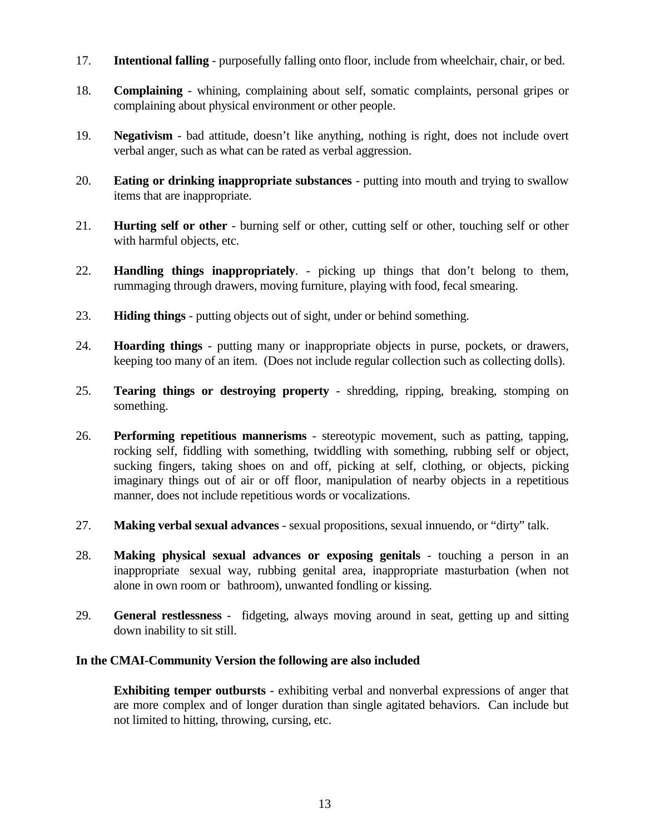- 17. **Intentional falling** purposefully falling onto floor, include from wheelchair, chair, or bed.
- 18. **Complaining** whining, complaining about self, somatic complaints, personal gripes or complaining about physical environment or other people.
- 19. **Negativism** bad attitude, doesn't like anything, nothing is right, does not include overt verbal anger, such as what can be rated as verbal aggression.
- 20. **Eating or drinking inappropriate substances** putting into mouth and trying to swallow items that are inappropriate.
- 21. **Hurting self or other** burning self or other, cutting self or other, touching self or other with harmful objects, etc.
- 22. **Handling things inappropriately**. picking up things that don't belong to them, rummaging through drawers, moving furniture, playing with food, fecal smearing.
- 23. **Hiding things** putting objects out of sight, under or behind something.
- 24. **Hoarding things** putting many or inappropriate objects in purse, pockets, or drawers, keeping too many of an item. (Does not include regular collection such as collecting dolls).
- 25. **Tearing things or destroying property** shredding, ripping, breaking, stomping on something.
- 26. **Performing repetitious mannerisms** stereotypic movement, such as patting, tapping, rocking self, fiddling with something, twiddling with something, rubbing self or object, sucking fingers, taking shoes on and off, picking at self, clothing, or objects, picking imaginary things out of air or off floor, manipulation of nearby objects in a repetitious manner, does not include repetitious words or vocalizations.
- 27. **Making verbal sexual advances** sexual propositions, sexual innuendo, or "dirty" talk.
- 28. **Making physical sexual advances or exposing genitals**  touching a person in an inappropriate sexual way, rubbing genital area, inappropriate masturbation (when not alone in own room or bathroom), unwanted fondling or kissing.
- 29. **General restlessness** fidgeting, always moving around in seat, getting up and sitting down inability to sit still.

#### **In the CMAI-Community Version the following are also included**

**Exhibiting temper outbursts** - exhibiting verbal and nonverbal expressions of anger that are more complex and of longer duration than single agitated behaviors. Can include but not limited to hitting, throwing, cursing, etc.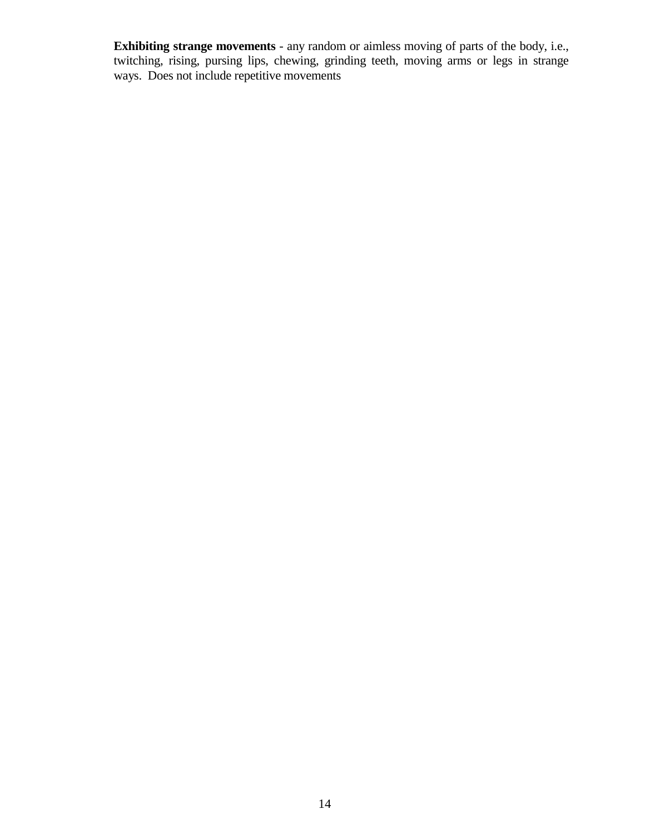**Exhibiting strange movements** - any random or aimless moving of parts of the body, i.e., twitching, rising, pursing lips, chewing, grinding teeth, moving arms or legs in strange ways. Does not include repetitive movements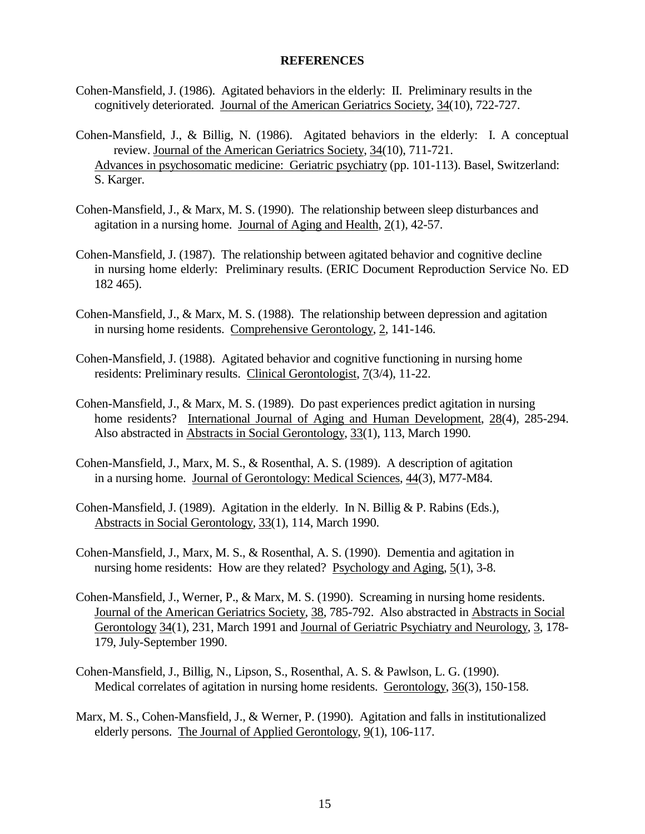#### **REFERENCES**

- Cohen-Mansfield, J. (1986). Agitated behaviors in the elderly: II. Preliminary results in the cognitively deteriorated. Journal of the American Geriatrics Society, 34(10), 722-727.
- Cohen-Mansfield, J., & Billig, N. (1986). Agitated behaviors in the elderly: I. A conceptual review. Journal of the American Geriatrics Society, 34(10), 711-721. Advances in psychosomatic medicine: Geriatric psychiatry (pp. 101-113). Basel, Switzerland: S. Karger.
- Cohen-Mansfield, J., & Marx, M. S. (1990). The relationship between sleep disturbances and agitation in a nursing home. Journal of Aging and Health, 2(1), 42-57.
- Cohen-Mansfield, J. (1987). The relationship between agitated behavior and cognitive decline in nursing home elderly: Preliminary results. (ERIC Document Reproduction Service No. ED 182 465).
- Cohen-Mansfield, J., & Marx, M. S. (1988). The relationship between depression and agitation in nursing home residents. Comprehensive Gerontology, 2, 141-146.
- Cohen-Mansfield, J. (1988). Agitated behavior and cognitive functioning in nursing home residents: Preliminary results. Clinical Gerontologist, 7(3/4), 11-22.
- Cohen-Mansfield, J., & Marx, M. S. (1989). Do past experiences predict agitation in nursing home residents? International Journal of Aging and Human Development, 28(4), 285-294. Also abstracted in Abstracts in Social Gerontology, 33(1), 113, March 1990.
- Cohen-Mansfield, J., Marx, M. S., & Rosenthal, A. S. (1989). A description of agitation in a nursing home. Journal of Gerontology: Medical Sciences, 44(3), M77-M84.
- Cohen-Mansfield, J. (1989). Agitation in the elderly. In N. Billig & P. Rabins (Eds.), Abstracts in Social Gerontology, 33(1), 114, March 1990.
- Cohen-Mansfield, J., Marx, M. S., & Rosenthal, A. S. (1990). Dementia and agitation in nursing home residents: How are they related? Psychology and Aging, 5(1), 3-8.
- Cohen-Mansfield, J., Werner, P., & Marx, M. S. (1990). Screaming in nursing home residents. Journal of the American Geriatrics Society, 38, 785-792. Also abstracted in Abstracts in Social Gerontology 34(1), 231, March 1991 and Journal of Geriatric Psychiatry and Neurology, 3, 178- 179, July-September 1990.
- Cohen-Mansfield, J., Billig, N., Lipson, S., Rosenthal, A. S. & Pawlson, L. G. (1990). Medical correlates of agitation in nursing home residents. Gerontology, 36(3), 150-158.
- Marx, M. S., Cohen-Mansfield, J., & Werner, P. (1990). Agitation and falls in institutionalized elderly persons. The Journal of Applied Gerontology, 9(1), 106-117.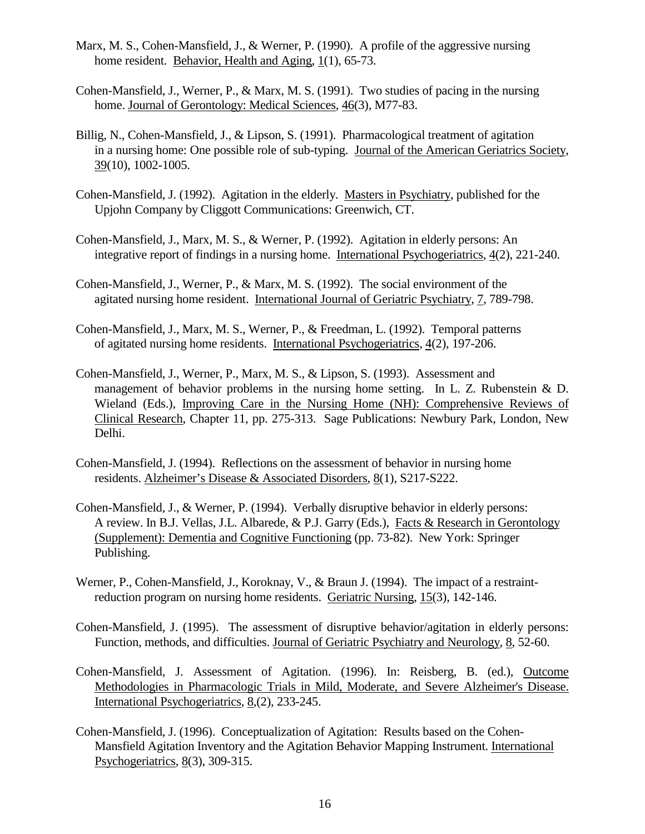- Marx, M. S., Cohen-Mansfield, J., & Werner, P. (1990). A profile of the aggressive nursing home resident. Behavior, Health and Aging, 1(1), 65-73.
- Cohen-Mansfield, J., Werner, P., & Marx, M. S. (1991). Two studies of pacing in the nursing home. Journal of Gerontology: Medical Sciences, 46(3), M77-83.
- Billig, N., Cohen-Mansfield, J., & Lipson, S. (1991). Pharmacological treatment of agitation in a nursing home: One possible role of sub-typing. Journal of the American Geriatrics Society,  $39(10)$ , 1002-1005.
- Cohen-Mansfield, J. (1992). Agitation in the elderly. Masters in Psychiatry, published for the Upjohn Company by Cliggott Communications: Greenwich, CT.
- Cohen-Mansfield, J., Marx, M. S., & Werner, P. (1992). Agitation in elderly persons: An integrative report of findings in a nursing home. International Psychogeriatrics, 4(2), 221-240.
- Cohen-Mansfield, J., Werner, P., & Marx, M. S. (1992). The social environment of the agitated nursing home resident. International Journal of Geriatric Psychiatry, 7, 789-798.
- Cohen-Mansfield, J., Marx, M. S., Werner, P., & Freedman, L. (1992). Temporal patterns of agitated nursing home residents. International Psychogeriatrics, 4(2), 197-206.
- Cohen-Mansfield, J., Werner, P., Marx, M. S., & Lipson, S. (1993). Assessment and management of behavior problems in the nursing home setting. In L. Z. Rubenstein & D. Wieland (Eds.), Improving Care in the Nursing Home (NH): Comprehensive Reviews of Clinical Research, Chapter 11, pp. 275-313. Sage Publications: Newbury Park, London, New Delhi.
- Cohen-Mansfield, J. (1994). Reflections on the assessment of behavior in nursing home residents. Alzheimer's Disease & Associated Disorders, 8(1), S217-S222.
- Cohen-Mansfield, J., & Werner, P. (1994). Verbally disruptive behavior in elderly persons: A review. In B.J. Vellas, J.L. Albarede, & P.J. Garry (Eds.), Facts & Research in Gerontology (Supplement): Dementia and Cognitive Functioning (pp. 73-82). New York: Springer Publishing.
- Werner, P., Cohen-Mansfield, J., Koroknay, V., & Braun J. (1994). The impact of a restraintreduction program on nursing home residents. Geriatric Nursing, 15(3), 142-146.
- Cohen-Mansfield, J. (1995). The assessment of disruptive behavior/agitation in elderly persons: Function, methods, and difficulties. Journal of Geriatric Psychiatry and Neurology, 8, 52-60.
- Cohen-Mansfield, J. Assessment of Agitation. (1996). In: Reisberg, B. (ed.), Outcome Methodologies in Pharmacologic Trials in Mild, Moderate, and Severe Alzheimer's Disease. International Psychogeriatrics, 8,(2), 233-245.
- Cohen-Mansfield, J. (1996). Conceptualization of Agitation: Results based on the Cohen-Mansfield Agitation Inventory and the Agitation Behavior Mapping Instrument. International Psychogeriatrics, 8(3), 309-315.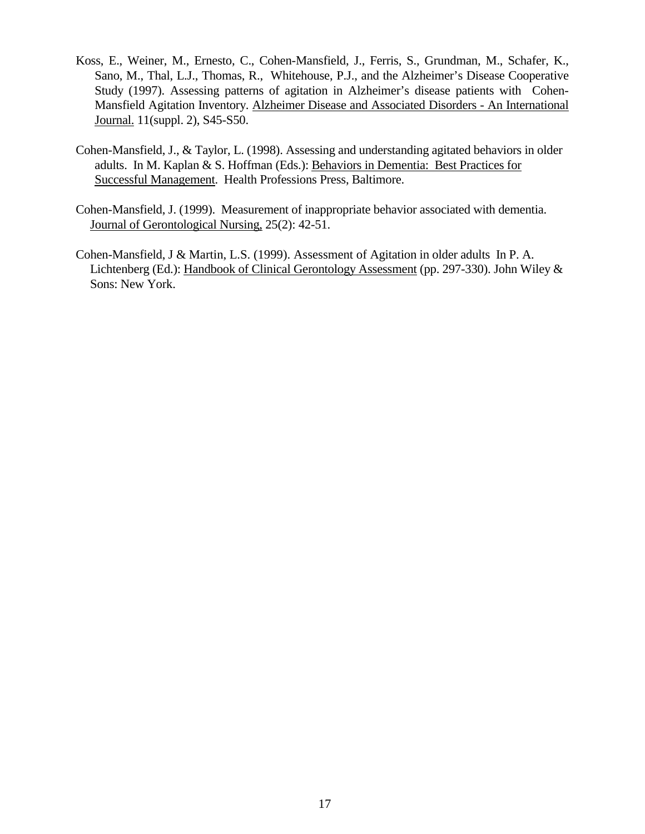- Koss, E., Weiner, M., Ernesto, C., Cohen-Mansfield, J., Ferris, S., Grundman, M., Schafer, K., Sano, M., Thal, L.J., Thomas, R., Whitehouse, P.J., and the Alzheimer's Disease Cooperative Study (1997). Assessing patterns of agitation in Alzheimer's disease patients with Cohen-Mansfield Agitation Inventory. Alzheimer Disease and Associated Disorders - An International Journal. 11(suppl. 2), S45-S50.
- Cohen-Mansfield, J., & Taylor, L. (1998). Assessing and understanding agitated behaviors in older adults. In M. Kaplan & S. Hoffman (Eds.): Behaviors in Dementia: Best Practices for Successful Management. Health Professions Press, Baltimore.
- Cohen-Mansfield, J. (1999). Measurement of inappropriate behavior associated with dementia. Journal of Gerontological Nursing, 25(2): 42-51.
- Cohen-Mansfield, J & Martin, L.S. (1999). Assessment of Agitation in older adults In P. A. Lichtenberg (Ed.): Handbook of Clinical Gerontology Assessment (pp. 297-330). John Wiley & Sons: New York.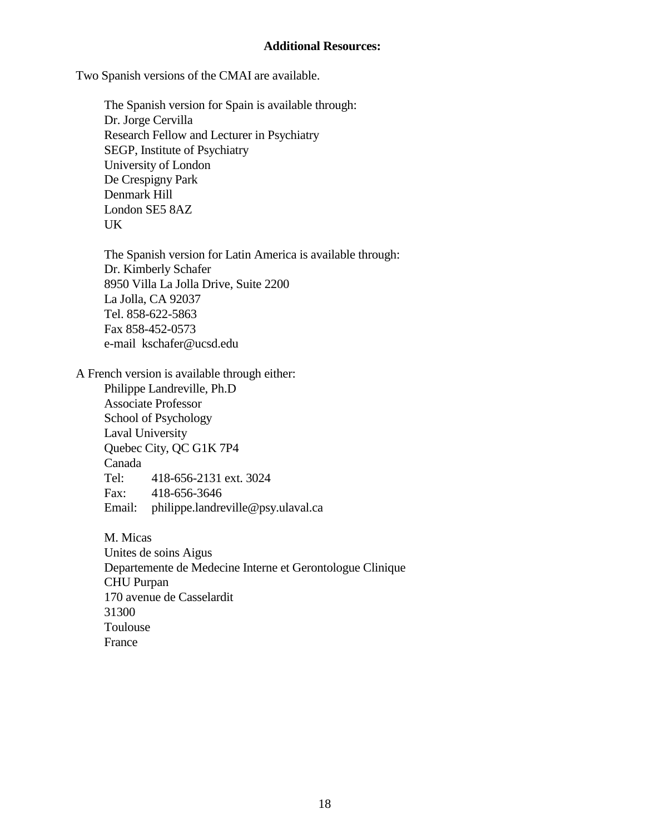#### **Additional Resources:**

Two Spanish versions of the CMAI are available.

The Spanish version for Spain is available through: Dr. Jorge Cervilla Research Fellow and Lecturer in Psychiatry SEGP, Institute of Psychiatry University of London De Crespigny Park Denmark Hill London SE5 8AZ UK

The Spanish version for Latin America is available through: Dr. Kimberly Schafer 8950 Villa La Jolla Drive, Suite 2200 La Jolla, CA 92037 Tel. 858-622-5863 Fax 858-452-0573 e-mail kschafer@ucsd.edu

A French version is available through either:

Philippe Landreville, Ph.D Associate Professor School of Psychology Laval University Quebec City, QC G1K 7P4 Canada Tel: 418-656-2131 ext. 3024 Fax: 418-656-3646 Email: philippe.landreville@psy.ulaval.ca

M. Micas Unites de soins Aigus Departemente de Medecine Interne et Gerontologue Clinique CHU Purpan 170 avenue de Casselardit 31300 Toulouse France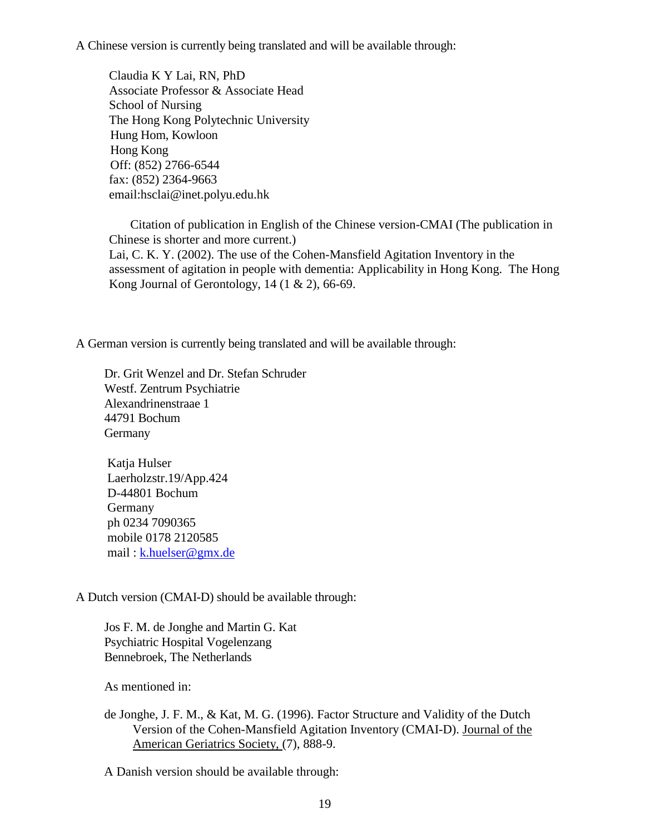A Chinese version is currently being translated and will be available through:

Claudia K Y Lai, RN, PhD Associate Professor & Associate Head School of Nursing The Hong Kong Polytechnic University Hung Hom, Kowloon Hong Kong Off: (852) 2766-6544 fax: (852) 2364-9663 email:hsclai@inet.polyu.edu.hk

 Citation of publication in English of the Chinese version-CMAI (The publication in Chinese is shorter and more current.) Lai, C. K. Y. (2002). The use of the Cohen-Mansfield Agitation Inventory in the assessment of agitation in people with dementia: Applicability in Hong Kong. The Hong Kong Journal of Gerontology,  $14$  ( $1 \& 2$ ), 66-69.

A German version is currently being translated and will be available through:

Dr. Grit Wenzel and Dr. Stefan Schruder Westf. Zentrum Psychiatrie Alexandrinenstraae 1 44791 Bochum **Germany** 

Katja Hulser Laerholzstr.19/App.424 D-44801 Bochum **Germany** ph 0234 7090365 mobile 0178 2120585 mail : k.huelser@gmx.de

A Dutch version (CMAI-D) should be available through:

Jos F. M. de Jonghe and Martin G. Kat Psychiatric Hospital Vogelenzang Bennebroek, The Netherlands

As mentioned in:

de Jonghe, J. F. M., & Kat, M. G. (1996). Factor Structure and Validity of the Dutch Version of the Cohen-Mansfield Agitation Inventory (CMAI-D). Journal of the American Geriatrics Society, (7), 888-9.

A Danish version should be available through: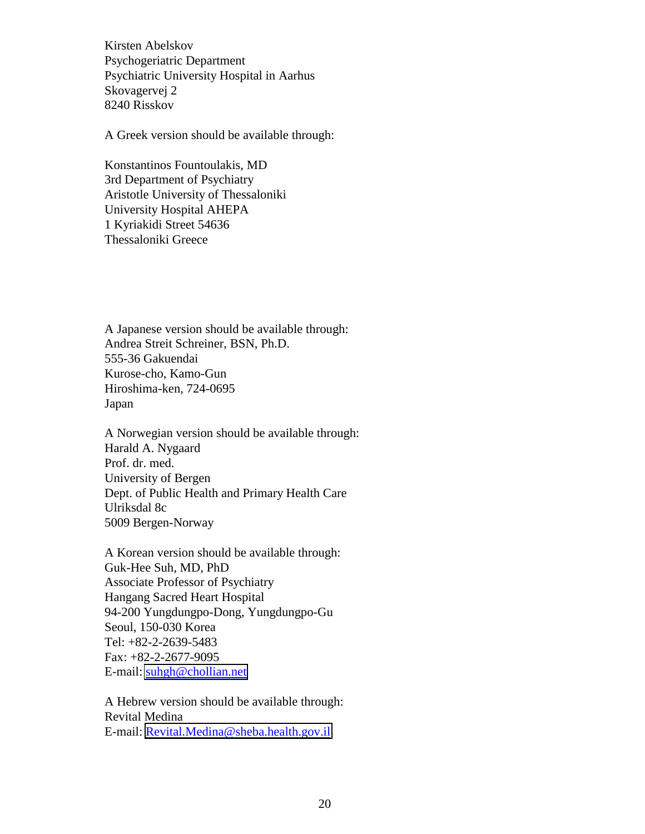Kirsten Abelskov Psychogeriatric Department Psychiatric University Hospital in Aarhus Skovagervej 2 8240 Risskov

A Greek version should be available through:

Konstantinos Fountoulakis, MD 3rd Department of Psychiatry Aristotle University of Thessaloniki University Hospital AHEPA 1 Kyriakidi Street 54636 Thessaloniki Greece

A Japanese version should be available through: Andrea Streit Schreiner, BSN, Ph.D. 555-36 Gakuendai Kurose-cho, Kamo-Gun Hiroshima-ken, 724-0695 Japan

A Norwegian version should be available through: Harald A. Nygaard Prof. dr. med. University of Bergen Dept. of Public Health and Primary Health Care Ulriksdal 8c 5009 Bergen-Norway

A Korean version should be available through: Guk-Hee Suh, MD, PhD Associate Professor of Psychiatry Hangang Sacred Heart Hospital 94-200 Yungdungpo-Dong, Yungdungpo-Gu Seoul, 150-030 Korea Tel: +82-2-2639-5483 Fax: +82-2-2677-9095 E-mail: [suhgh@chollian.net](mailto:suhgh@chollian.net)

A Hebrew version should be available through: Revital Medina E-mail: [Revital.Medina@sheba.health.gov.il](mailto:Revital.Medina@sheba.health.gov.il)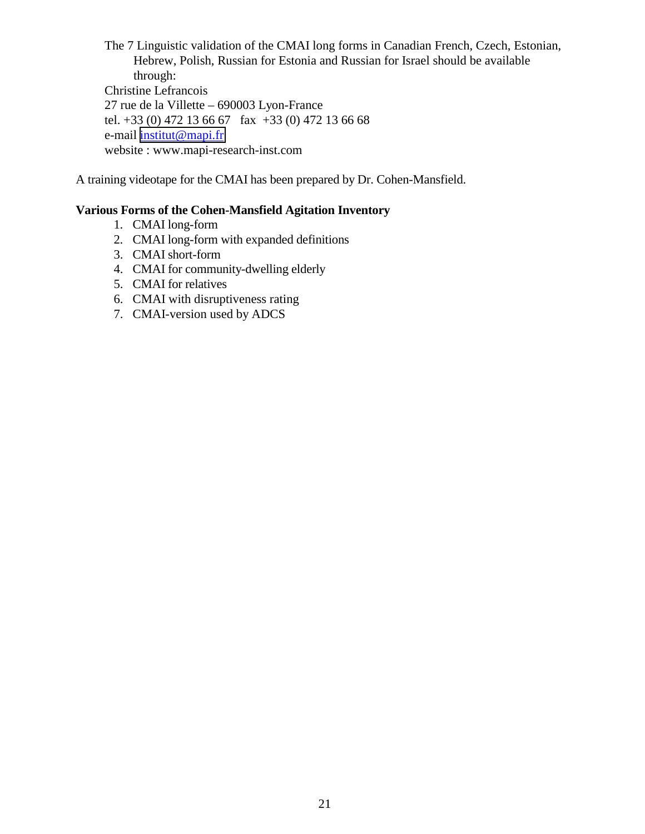The 7 Linguistic validation of the CMAI long forms in Canadian French, Czech, Estonian, Hebrew, Polish, Russian for Estonia and Russian for Israel should be available through: Christine Lefrancois 27 rue de la Villette – 690003 Lyon-France tel. +33 (0) 472 13 66 67 fax +33 (0) 472 13 66 68 e-mail [institut@mapi.fr](mailto:institut@mapi.fr) website : www.mapi-research-inst.com

A training videotape for the CMAI has been prepared by Dr. Cohen-Mansfield.

#### **Various Forms of the Cohen-Mansfield Agitation Inventory**

- 1. CMAI long-form
- 2. CMAI long-form with expanded definitions
- 3. CMAI short-form
- 4. CMAI for community-dwelling elderly
- 5. CMAI for relatives
- 6. CMAI with disruptiveness rating
- 7. CMAI-version used by ADCS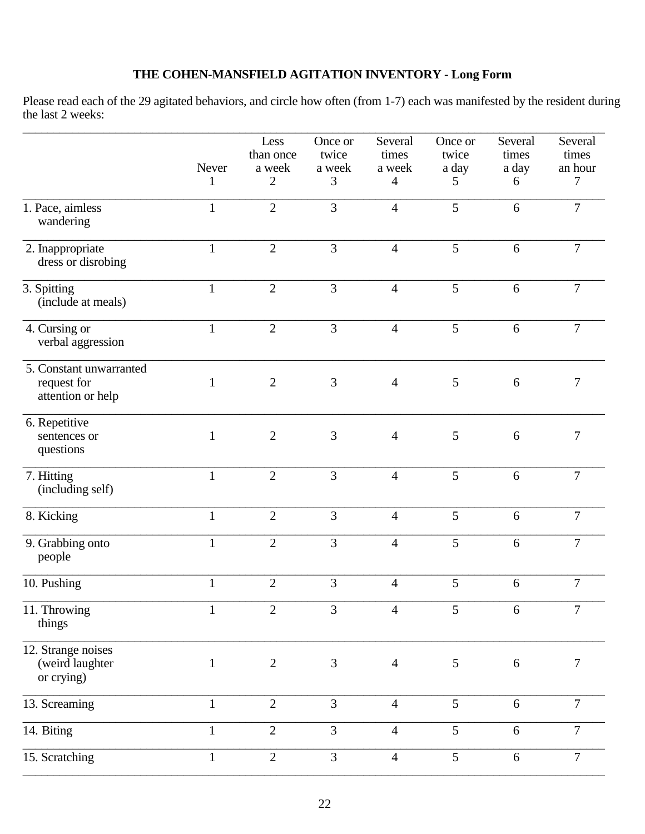## THE COHEN-MANSFIELD AGITATION INVENTORY - Long Form

Please read each of the 29 agitated behaviors, and circle how often (from 1-7) each was manifested by the resident during the last 2 weeks:

|                                                             | Never<br>1   | Less<br>than once<br>a week<br>$\mathbf{2}$ | Once or<br>twice<br>a week<br>3 | Several<br>times<br>a week<br>$\overline{4}$ | Once or<br>twice<br>a day<br>5 | Several<br>times<br>a day<br>6 | Several<br>times<br>an hour<br>7 |
|-------------------------------------------------------------|--------------|---------------------------------------------|---------------------------------|----------------------------------------------|--------------------------------|--------------------------------|----------------------------------|
| 1. Pace, aimless<br>wandering                               | $\mathbf{1}$ | $\overline{2}$                              | 3                               | $\overline{4}$                               | 5                              | 6                              | $\overline{7}$                   |
| 2. Inappropriate<br>dress or disrobing                      | $\mathbf{1}$ | $\mathbf{2}$                                | 3                               | $\overline{4}$                               | 5                              | 6                              | 7                                |
| 3. Spitting<br>(include at meals)                           | $\mathbf{1}$ | $\overline{2}$                              | 3                               | $\overline{4}$                               | 5                              | 6                              | $\overline{7}$                   |
| 4. Cursing or<br>verbal aggression                          | $\mathbf{1}$ | $\overline{2}$                              | 3                               | $\overline{4}$                               | 5                              | 6                              | $\overline{7}$                   |
| 5. Constant unwarranted<br>request for<br>attention or help | $\mathbf{1}$ | $\mathbf{2}$                                | 3                               | $\overline{4}$                               | 5                              | 6                              | 7                                |
| 6. Repetitive<br>sentences or<br>questions                  | $\mathbf{1}$ | $\mathbf{2}$                                | 3                               | $\overline{4}$                               | 5                              | 6                              | 7                                |
| 7. Hitting<br>(including self)                              | $\mathbf{1}$ | $\overline{2}$                              | 3                               | $\overline{4}$                               | 5                              | 6                              | $\overline{7}$                   |
| 8. Kicking                                                  | $\mathbf{1}$ | $\overline{2}$                              | 3                               | $\overline{4}$                               | 5                              | 6                              | $\overline{7}$                   |
| 9. Grabbing onto<br>people                                  | $\mathbf{1}$ | $\overline{2}$                              | 3                               | $\overline{4}$                               | 5                              | 6                              | $\overline{7}$                   |
| 10. Pushing                                                 | $\mathbf{1}$ | $\mathbf{2}$                                | $\mathfrak{Z}$                  | $\overline{4}$                               | 5                              | 6                              | 7                                |
| 11. Throwing<br>things                                      | $\mathbf{1}$ | $\overline{2}$                              | 3                               | 4                                            | 5                              | 6                              | 7                                |
| 12. Strange noises<br>(weird laughter<br>or crying)         | $\mathbf{1}$ | $\mathbf{2}$                                | 3                               | $\overline{4}$                               | 5                              | 6                              | 7                                |
| 13. Screaming                                               | $\mathbf{1}$ | $\mathbf{2}$                                | 3                               | $\overline{4}$                               | 5                              | 6                              | $\tau$                           |
| 14. Biting                                                  | $\mathbf{1}$ | $\overline{2}$                              | 3                               | $\overline{4}$                               | 5                              | 6                              | $\overline{7}$                   |
| 15. Scratching                                              | $\mathbf{1}$ | $\mathbf{2}$                                | $\mathfrak{Z}$                  | $\overline{4}$                               | 5                              | $\boldsymbol{6}$               | $\tau$                           |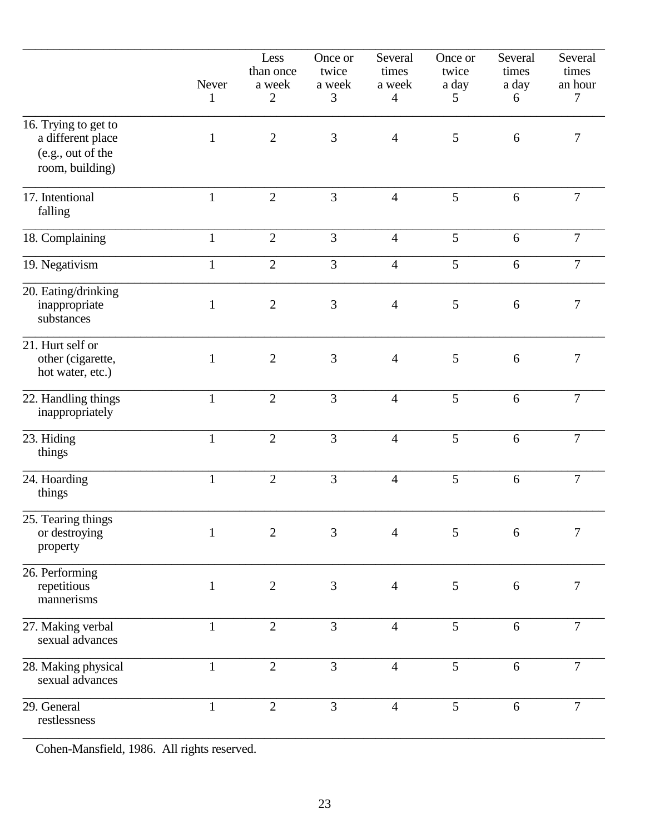|                                                                                   | Never<br>$\mathbf{1}$ | Less<br>than once<br>a week<br>$\mathbf{2}$ | Once or<br>twice<br>a week<br>3 | Several<br>times<br>a week<br>$\overline{4}$ | Once or<br>twice<br>a day<br>5 | Several<br>times<br>a day<br>6 | Several<br>times<br>an hour<br>7 |
|-----------------------------------------------------------------------------------|-----------------------|---------------------------------------------|---------------------------------|----------------------------------------------|--------------------------------|--------------------------------|----------------------------------|
| 16. Trying to get to<br>a different place<br>(e.g., out of the<br>room, building) | $\mathbf{1}$          | $\mathbf{2}$                                | $\mathfrak{Z}$                  | $\overline{4}$                               | 5                              | 6                              | 7                                |
| 17. Intentional<br>falling                                                        | $\mathbf{1}$          | $\mathbf{2}$                                | 3                               | $\overline{4}$                               | 5                              | 6                              | $\overline{7}$                   |
| 18. Complaining                                                                   | $\mathbf{1}$          | $\mathbf{2}$                                | 3                               | $\overline{4}$                               | 5                              | 6                              | $\overline{7}$                   |
| 19. Negativism                                                                    | $\mathbf{1}$          | $\mathbf{2}$                                | 3                               | $\overline{4}$                               | 5                              | 6                              | $\tau$                           |
| 20. Eating/drinking<br>inappropriate<br>substances                                | $\mathbf{1}$          | $\mathbf{2}$                                | $\mathfrak{Z}$                  | $\overline{4}$                               | 5                              | 6                              | $\tau$                           |
| 21. Hurt self or<br>other (cigarette,<br>hot water, etc.)                         | $\mathbf{1}$          | $\sqrt{2}$                                  | 3                               | $\overline{4}$                               | 5                              | 6                              | 7                                |
| 22. Handling things<br>inappropriately                                            | $\mathbf{1}$          | $\mathbf{2}$                                | 3                               | $\overline{4}$                               | 5                              | 6                              | $\overline{7}$                   |
| 23. Hiding<br>things                                                              | $\mathbf{1}$          | $\overline{2}$                              | 3                               | $\overline{4}$                               | 5                              | 6                              | $\overline{7}$                   |
| 24. Hoarding<br>things                                                            | $\mathbf{1}$          | $\mathbf{2}$                                | 3                               | $\overline{4}$                               | 5                              | 6                              | $\overline{7}$                   |
| 25. Tearing things<br>or destroying<br>property                                   | $\mathbf{1}$          | $\overline{2}$                              | 3                               | $\overline{4}$                               | 5                              | 6                              | 7                                |
| 26. Performing<br>repetitious<br>mannerisms                                       | $\mathbf{1}$          | $\mathbf{2}$                                | 3                               | $\overline{4}$                               | 5                              | 6                              | 7                                |
| 27. Making verbal<br>sexual advances                                              | $\mathbf{1}$          | $\overline{2}$                              | 3                               | $\overline{4}$                               | $5\overline{)}$                | 6                              | $\overline{7}$                   |
| 28. Making physical<br>sexual advances                                            | $\mathbf{1}$          | $\overline{2}$                              | 3                               | $\overline{4}$                               | 5                              | 6                              | $\overline{7}$                   |
| 29. General<br>restlessness                                                       | $\mathbf{1}$          | $\mathbf{2}$                                | 3                               | $\overline{4}$                               | 5                              | 6                              | $\overline{7}$                   |

© Cohen-Mansfield, 1986. All rights reserved.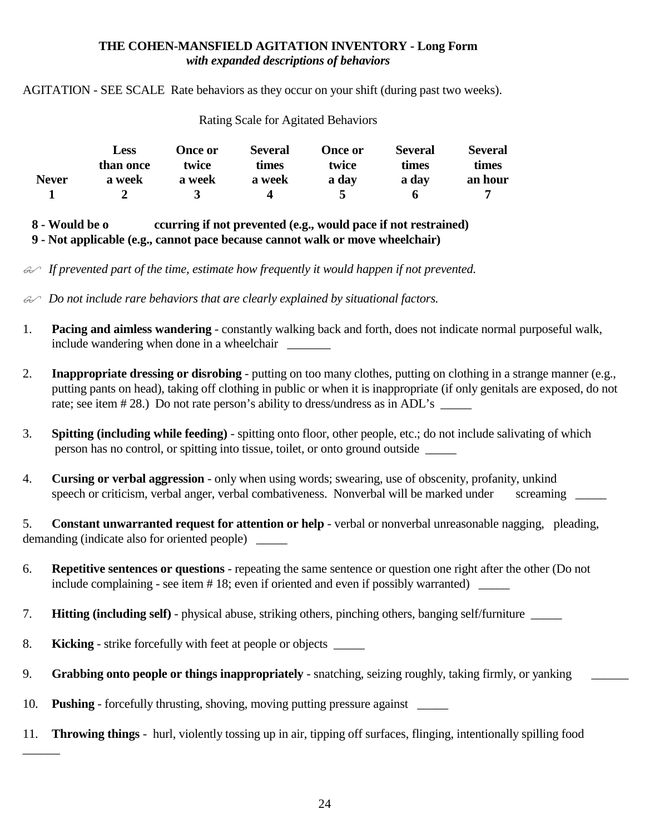## **THE COHEN-MANSFIELD AGITATION INVENTORY - Long Form**   *with expanded descriptions of behaviors*

AGITATION - SEE SCALE Rate behaviors as they occur on your shift (during past two weeks).

| <b>Rating Scale for Agitated Behaviors</b> |                          |                  |                         |                  |                         |                         |
|--------------------------------------------|--------------------------|------------------|-------------------------|------------------|-------------------------|-------------------------|
|                                            | <b>Less</b><br>than once | Once or<br>twice | <b>Several</b><br>times | Once or<br>twice | <b>Several</b><br>times | <b>Several</b><br>times |
| <b>Never</b>                               | a week                   | a week           | a week                  | a day            | a day                   | an hour                 |
|                                            |                          |                  |                         |                  |                         |                         |

 **8 - Would be o ccurring if not prevented (e.g., would pace if not restrained)** 

 **9 - Not applicable (e.g., cannot pace because cannot walk or move wheelchair)** 

 $\mathcal{L}$  If prevented part of the time, estimate how frequently it would happen if not prevented.

" *Do not include rare behaviors that are clearly explained by situational factors.* 

- 1. **Pacing and aimless wandering** constantly walking back and forth, does not indicate normal purposeful walk, include wandering when done in a wheelchair **with the value of the value of the value of the value of the value of the value of the value of the value of the value of the value of the value of the value of the value of the**
- 2. **Inappropriate dressing or disrobing** putting on too many clothes, putting on clothing in a strange manner (e.g., putting pants on head), taking off clothing in public or when it is inappropriate (if only genitals are exposed, do not rate; see item # 28.) Do not rate person's ability to dress/undress as in ADL's
- 3. **Spitting (including while feeding)** spitting onto floor, other people, etc.; do not include salivating of which person has no control, or spitting into tissue, toilet, or onto ground outside \_\_\_\_\_
- 4. **Cursing or verbal aggression** only when using words; swearing, use of obscenity, profanity, unkind speech or criticism, verbal anger, verbal combativeness. Nonverbal will be marked under screaming

5. **Constant unwarranted request for attention or help** - verbal or nonverbal unreasonable nagging, pleading, demanding (indicate also for oriented people) \_\_\_\_\_

- 6. **Repetitive sentences or questions** repeating the same sentence or question one right after the other (Do not include complaining - see item # 18; even if oriented and even if possibly warranted) \_\_\_\_\_
- 7. **Hitting (including self)** physical abuse, striking others, pinching others, banging self/furniture  $\qquad$
- 8. **Kicking** strike forcefully with feet at people or objects

 $\overline{\phantom{a}}$ 

9. **Grabbing onto people or things inappropriately** - snatching, seizing roughly, taking firmly, or yanking

10. **Pushing** - forcefully thrusting, shoving, moving putting pressure against \_\_\_\_\_\_\_

11. **Throwing things** - hurl, violently tossing up in air, tipping off surfaces, flinging, intentionally spilling food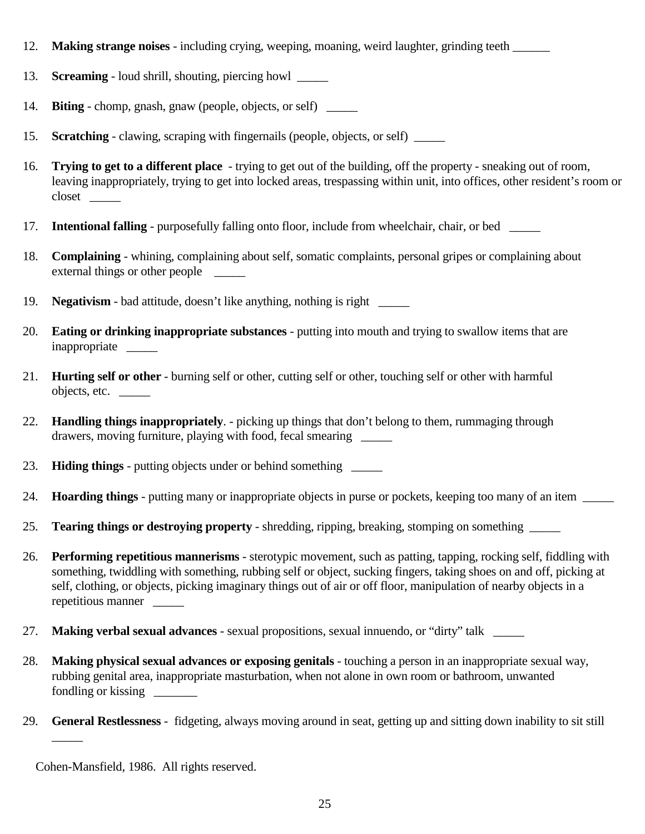- 12. **Making strange noises** including crying, weeping, moaning, weird laughter, grinding teeth \_\_\_\_\_\_
- 13. **Screaming** loud shrill, shouting, piercing howl \_\_\_\_\_
- 14. **Biting** chomp, gnash, gnaw (people, objects, or self) \_\_\_\_\_\_
- 15. **Scratching** clawing, scraping with fingernails (people, objects, or self) \_\_\_\_\_
- 16. **Trying to get to a different place** trying to get out of the building, off the property sneaking out of room, leaving inappropriately, trying to get into locked areas, trespassing within unit, into offices, other resident's room or closet \_\_\_\_\_
- 17. **Intentional falling** purposefully falling onto floor, include from wheelchair, chair, or bed \_\_\_\_\_
- 18. **Complaining** whining, complaining about self, somatic complaints, personal gripes or complaining about external things or other people
- 19. **Negativism** bad attitude, doesn't like anything, nothing is right \_\_\_\_\_
- 20. **Eating or drinking inappropriate substances** putting into mouth and trying to swallow items that are inappropriate \_\_\_\_\_
- 21. **Hurting self or other** burning self or other, cutting self or other, touching self or other with harmful objects, etc. \_\_\_\_\_
- 22. **Handling things inappropriately**. picking up things that don't belong to them, rummaging through drawers, moving furniture, playing with food, fecal smearing \_\_\_\_\_
- 23. **Hiding things** putting objects under or behind something \_\_\_\_\_
- 24. **Hoarding things** putting many or inappropriate objects in purse or pockets, keeping too many of an item \_\_\_\_\_
- 25. **Tearing things or destroying property** shredding, ripping, breaking, stomping on something \_\_\_\_\_
- 26. **Performing repetitious mannerisms** sterotypic movement, such as patting, tapping, rocking self, fiddling with something, twiddling with something, rubbing self or object, sucking fingers, taking shoes on and off, picking at self, clothing, or objects, picking imaginary things out of air or off floor, manipulation of nearby objects in a repetitious manner \_\_\_\_\_
- 27. **Making verbal sexual advances** sexual propositions, sexual innuendo, or "dirty" talk \_\_\_\_\_
- 28. **Making physical sexual advances or exposing genitals**  touching a person in an inappropriate sexual way, rubbing genital area, inappropriate masturbation, when not alone in own room or bathroom, unwanted fondling or kissing \_\_\_\_\_\_\_
- 29. **General Restlessness** fidgeting, always moving around in seat, getting up and sitting down inability to sit still

 $\frac{1}{2}$ 

<sup>©</sup> Cohen-Mansfield, 1986. All rights reserved.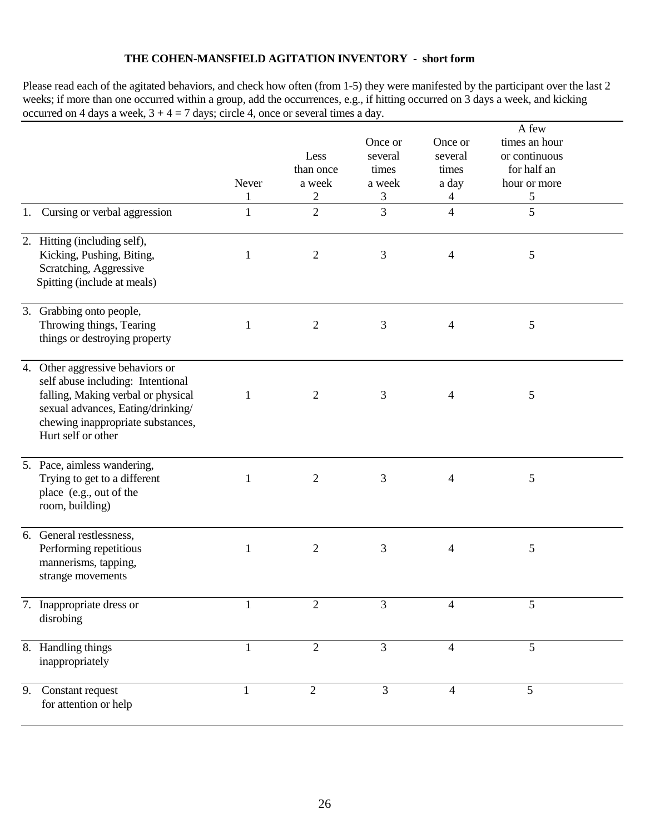#### **THE COHEN-MANSFIELD AGITATION INVENTORY - short form**

Please read each of the agitated behaviors, and check how often (from 1-5) they were manifested by the participant over the last 2 weeks; if more than one occurred within a group, add the occurrences, e.g., if hitting occurred on 3 days a week, and kicking occurred on 4 days a week,  $3 + 4 = 7$  days; circle 4, once or several times a day.

|    |                                                                                                                                                                                                             | Never<br>$\mathbf{1}$ | Less<br>than once<br>a week<br>$\overline{\mathbf{c}}$ | Once or<br>several<br>times<br>a week<br>3 | Once or<br>several<br>times<br>a day<br>4 | A few<br>times an hour<br>or continuous<br>for half an<br>hour or more<br>5 |  |
|----|-------------------------------------------------------------------------------------------------------------------------------------------------------------------------------------------------------------|-----------------------|--------------------------------------------------------|--------------------------------------------|-------------------------------------------|-----------------------------------------------------------------------------|--|
|    | 1. Cursing or verbal aggression                                                                                                                                                                             | 1                     | $\overline{2}$                                         | 3                                          | 4                                         | 5                                                                           |  |
|    | 2. Hitting (including self),<br>Kicking, Pushing, Biting,<br>Scratching, Aggressive<br>Spitting (include at meals)                                                                                          | 1                     | $\overline{2}$                                         | 3                                          | $\overline{\mathcal{A}}$                  | 5                                                                           |  |
|    | 3. Grabbing onto people,<br>Throwing things, Tearing<br>things or destroying property                                                                                                                       | $\mathbf{1}$          | $\mathfrak{2}$                                         | 3                                          | 4                                         | 5                                                                           |  |
|    | 4. Other aggressive behaviors or<br>self abuse including: Intentional<br>falling, Making verbal or physical<br>sexual advances, Eating/drinking/<br>chewing inappropriate substances,<br>Hurt self or other | 1                     | $\overline{2}$                                         | 3                                          | 4                                         | 5                                                                           |  |
|    | 5. Pace, aimless wandering,<br>Trying to get to a different<br>place (e.g., out of the<br>room, building)                                                                                                   | $\mathbf{1}$          | $\overline{2}$                                         | 3                                          | 4                                         | 5                                                                           |  |
|    | 6. General restlessness,<br>Performing repetitious<br>mannerisms, tapping,<br>strange movements                                                                                                             | 1                     | $\overline{2}$                                         | 3                                          | 4                                         | 5                                                                           |  |
|    | 7. Inappropriate dress or<br>disrobing                                                                                                                                                                      | 1                     | 2                                                      | 3                                          | 4                                         | 5                                                                           |  |
|    | 8. Handling things<br>inappropriately                                                                                                                                                                       | 1                     | $\overline{2}$                                         | 3                                          | 4                                         | 5                                                                           |  |
| 9. | Constant request<br>for attention or help                                                                                                                                                                   | 1                     | $\overline{2}$                                         | $\overline{3}$                             | $\overline{4}$                            | 5                                                                           |  |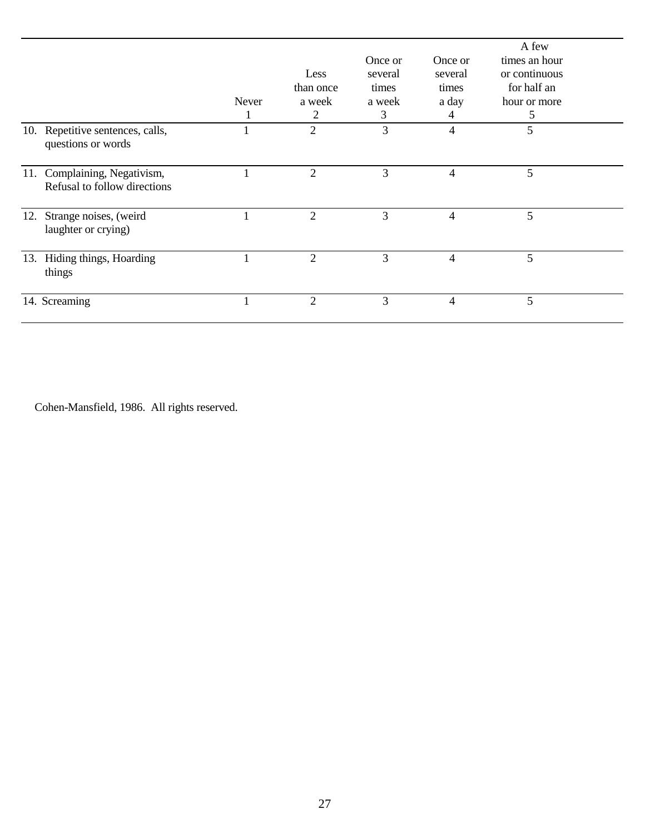|     |                                                              | Never | Less<br>than once<br>a week<br>2 | Once or<br>several<br>times<br>a week<br>3 | Once or<br>several<br>times<br>a day<br>4 | A few<br>times an hour<br>or continuous<br>for half an<br>hour or more<br>5 |  |
|-----|--------------------------------------------------------------|-------|----------------------------------|--------------------------------------------|-------------------------------------------|-----------------------------------------------------------------------------|--|
|     | 10. Repetitive sentences, calls,<br>questions or words       |       | $\overline{2}$                   | 3                                          | $\overline{4}$                            | 5                                                                           |  |
|     | 11. Complaining, Negativism,<br>Refusal to follow directions |       | 2                                | 3                                          | 4                                         | 5                                                                           |  |
| 12. | Strange noises, (weird<br>laughter or crying)                |       | $\overline{2}$                   | 3                                          | 4                                         | 5                                                                           |  |
|     | 13. Hiding things, Hoarding<br>things                        |       | $\overline{2}$                   | 3                                          | $\overline{4}$                            | 5                                                                           |  |
|     | 14. Screaming                                                |       | $\overline{2}$                   | 3                                          | 4                                         | 5                                                                           |  |

Cohen-Mansfield, 1986. All rights reserved.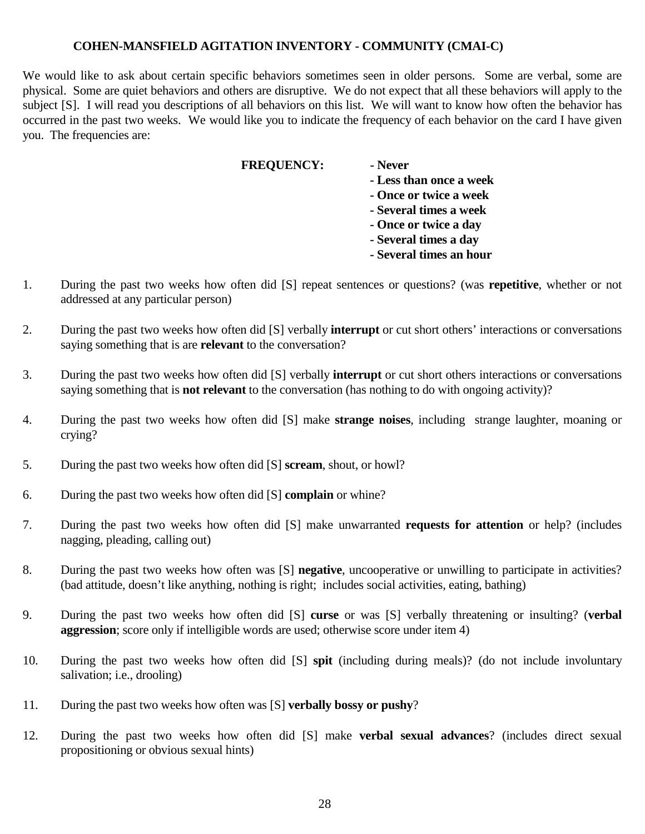#### **COHEN-MANSFIELD AGITATION INVENTORY - COMMUNITY (CMAI-C)**

We would like to ask about certain specific behaviors sometimes seen in older persons. Some are verbal, some are physical. Some are quiet behaviors and others are disruptive. We do not expect that all these behaviors will apply to the subject [S]. I will read you descriptions of all behaviors on this list. We will want to know how often the behavior has occurred in the past two weeks. We would like you to indicate the frequency of each behavior on the card I have given you. The frequencies are:

#### **FREQUENCY: - Never**

- **Less than once a week**
- **Once or twice a week**
- **Several times a week**
- **Once or twice a day**
- **Several times a day**
- **Several times an hour**
- 1. During the past two weeks how often did [S] repeat sentences or questions? (was **repetitive**, whether or not addressed at any particular person)
- 2. During the past two weeks how often did [S] verbally **interrupt** or cut short others' interactions or conversations saying something that is are **relevant** to the conversation?
- 3. During the past two weeks how often did [S] verbally **interrupt** or cut short others interactions or conversations saying something that is **not relevant** to the conversation (has nothing to do with ongoing activity)?
- 4. During the past two weeks how often did [S] make **strange noises**, including strange laughter, moaning or crying?
- 5. During the past two weeks how often did [S] **scream**, shout, or howl?
- 6. During the past two weeks how often did [S] **complain** or whine?
- 7. During the past two weeks how often did [S] make unwarranted **requests for attention** or help? (includes nagging, pleading, calling out)
- 8. During the past two weeks how often was [S] **negative**, uncooperative or unwilling to participate in activities? (bad attitude, doesn't like anything, nothing is right; includes social activities, eating, bathing)
- 9. During the past two weeks how often did [S] **curse** or was [S] verbally threatening or insulting? (**verbal aggression**; score only if intelligible words are used; otherwise score under item 4)
- 10. During the past two weeks how often did [S] **spit** (including during meals)? (do not include involuntary salivation; i.e., drooling)
- 11. During the past two weeks how often was [S] **verbally bossy or pushy**?
- 12. During the past two weeks how often did [S] make **verbal sexual advances**? (includes direct sexual propositioning or obvious sexual hints)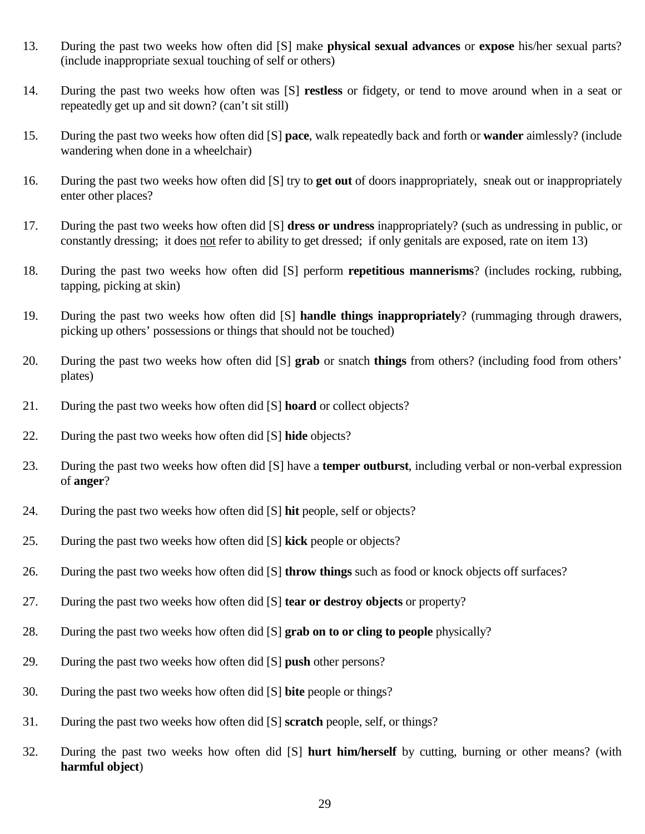- 13. During the past two weeks how often did [S] make **physical sexual advances** or **expose** his/her sexual parts? (include inappropriate sexual touching of self or others)
- 14. During the past two weeks how often was [S] **restless** or fidgety, or tend to move around when in a seat or repeatedly get up and sit down? (can't sit still)
- 15. During the past two weeks how often did [S] **pace**, walk repeatedly back and forth or **wander** aimlessly? (include wandering when done in a wheelchair)
- 16. During the past two weeks how often did [S] try to **get out** of doors inappropriately, sneak out or inappropriately enter other places?
- 17. During the past two weeks how often did [S] **dress or undress** inappropriately? (such as undressing in public, or constantly dressing; it does not refer to ability to get dressed; if only genitals are exposed, rate on item 13)
- 18. During the past two weeks how often did [S] perform **repetitious mannerisms**? (includes rocking, rubbing, tapping, picking at skin)
- 19. During the past two weeks how often did [S] **handle things inappropriately**? (rummaging through drawers, picking up others' possessions or things that should not be touched)
- 20. During the past two weeks how often did [S] **grab** or snatch **things** from others? (including food from others' plates)
- 21. During the past two weeks how often did [S] **hoard** or collect objects?
- 22. During the past two weeks how often did [S] **hide** objects?
- 23. During the past two weeks how often did [S] have a **temper outburst**, including verbal or non-verbal expression of **anger**?
- 24. During the past two weeks how often did [S] **hit** people, self or objects?
- 25. During the past two weeks how often did [S] **kick** people or objects?
- 26. During the past two weeks how often did [S] **throw things** such as food or knock objects off surfaces?
- 27. During the past two weeks how often did [S] **tear or destroy objects** or property?
- 28. During the past two weeks how often did [S] **grab on to or cling to people** physically?
- 29. During the past two weeks how often did [S] **push** other persons?
- 30. During the past two weeks how often did [S] **bite** people or things?
- 31. During the past two weeks how often did [S] **scratch** people, self, or things?
- 32. During the past two weeks how often did [S] **hurt him/herself** by cutting, burning or other means? (with **harmful object**)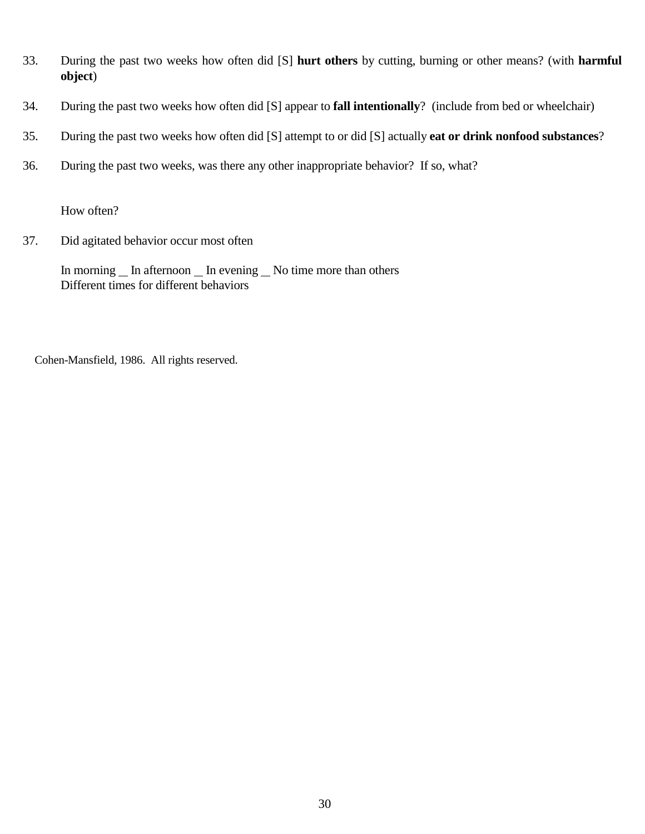- 33. During the past two weeks how often did [S] **hurt others** by cutting, burning or other means? (with **harmful object**)
- 34. During the past two weeks how often did [S] appear to **fall intentionally**? (include from bed or wheelchair)
- 35. During the past two weeks how often did [S] attempt to or did [S] actually **eat or drink nonfood substances**?
- 36. During the past two weeks, was there any other inappropriate behavior? If so, what?

How often?

37. Did agitated behavior occur most often

In morning \_ In afternoon \_ In evening \_ No time more than others Different times for different behaviors

© Cohen-Mansfield, 1986. All rights reserved.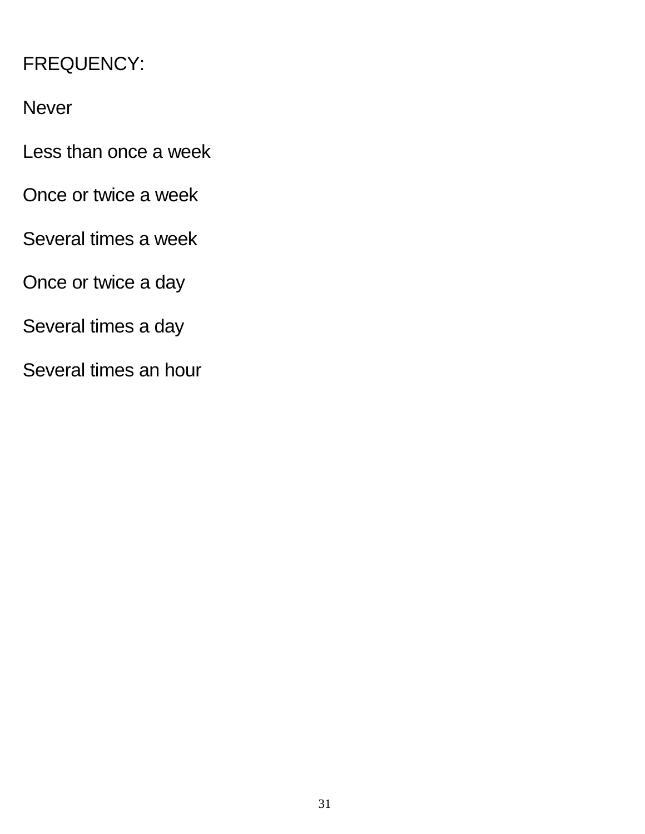# FREQUENCY:

Never

Less than once a week

Once or twice a week

Several times a week

Once or twice a day

Several times a day

Several times an hour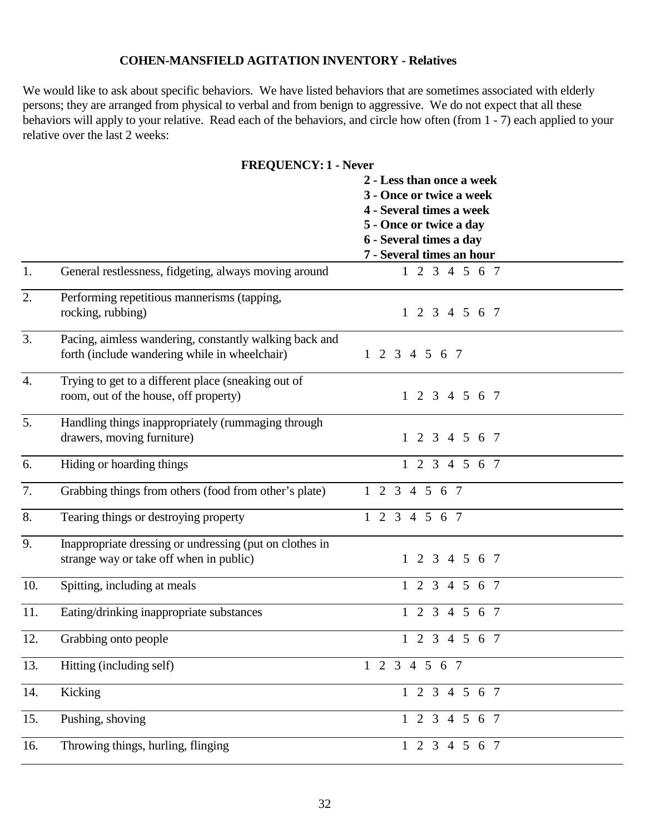## **COHEN-MANSFIELD AGITATION INVENTORY - Relatives**

We would like to ask about specific behaviors. We have listed behaviors that are sometimes associated with elderly persons; they are arranged from physical to verbal and from benign to aggressive. We do not expect that all these behaviors will apply to your relative. Read each of the behaviors, and circle how often (from 1 - 7) each applied to your relative over the last 2 weeks:

| <b>FREQUENCY: 1 - Never</b> |
|-----------------------------|
|                             |

|     |                                                         | 2 - Less than once a week   |
|-----|---------------------------------------------------------|-----------------------------|
|     |                                                         | 3 - Once or twice a week    |
|     |                                                         | 4 - Several times a week    |
|     |                                                         | 5 - Once or twice a day     |
|     |                                                         | 6 - Several times a day     |
|     |                                                         | 7 - Several times an hour   |
| 1.  | General restlessness, fidgeting, always moving around   | 1 2 3 4 5 6 7               |
| 2.  | Performing repetitious mannerisms (tapping,             |                             |
|     | rocking, rubbing)                                       | 1 2 3 4 5 6 7               |
|     |                                                         |                             |
| 3.  | Pacing, aimless wandering, constantly walking back and  |                             |
|     | forth (include wandering while in wheelchair)           | 1 2 3 4 5 6 7               |
|     |                                                         |                             |
| 4.  | Trying to get to a different place (sneaking out of     |                             |
|     | room, out of the house, off property)                   | 1 2 3 4 5 6 7               |
|     |                                                         |                             |
| 5.  | Handling things inappropriately (rummaging through      |                             |
|     | drawers, moving furniture)                              | 1 2 3 4 5 6 7               |
|     |                                                         |                             |
| 6.  | Hiding or hoarding things                               | $1 \t2 \t3 \t4 \t5 \t6 \t7$ |
|     |                                                         |                             |
| 7.  | Grabbing things from others (food from other's plate)   | $1\ 2\ 3\ 4\ 5\ 6\ 7$       |
|     |                                                         |                             |
| 8.  | Tearing things or destroying property                   | $1\ 2\ 3\ 4\ 5\ 6\ 7$       |
|     |                                                         |                             |
| 9.  | Inappropriate dressing or undressing (put on clothes in |                             |
|     | strange way or take off when in public)                 | 1 2 3 4 5 6 7               |
|     |                                                         |                             |
| 10. | Spitting, including at meals                            | 1 2 3 4 5 6 7               |
|     |                                                         |                             |
| 11. | Eating/drinking inappropriate substances                | 1 2 3 4 5 6 7               |
|     |                                                         |                             |
| 12. | Grabbing onto people                                    | 1 2 3 4 5 6 7               |
|     |                                                         |                             |
| 13. | Hitting (including self)                                | 1 2 3 4 5 6 7               |
|     |                                                         |                             |
| 14. | Kicking                                                 | 1 2 3 4 5 6 7               |
| 15. | Pushing, shoving                                        | 1 2 3 4 5 6 7               |
|     |                                                         |                             |
| 16. | Throwing things, hurling, flinging                      | $1 \t2 \t3 \t4 \t5 \t6 \t7$ |
|     |                                                         |                             |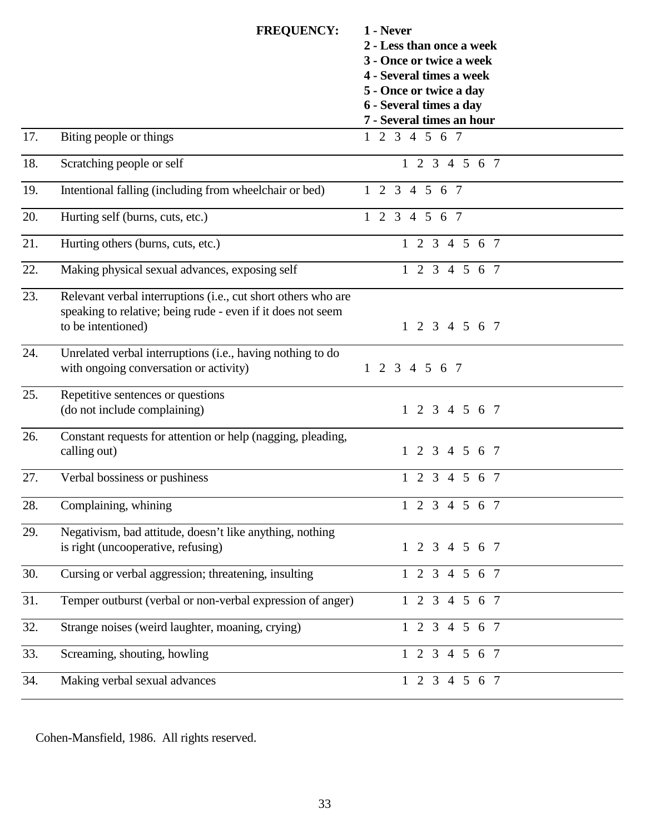|     | <b>FREQUENCY:</b>                                                                                                                                  | 1 - Never<br>2 - Less than once a week<br>3 - Once or twice a week<br>4 - Several times a week<br>5 - Once or twice a day<br>6 - Several times a day<br>7 - Several times an hour |
|-----|----------------------------------------------------------------------------------------------------------------------------------------------------|-----------------------------------------------------------------------------------------------------------------------------------------------------------------------------------|
| 17. | Biting people or things                                                                                                                            | 1 2 3 4 5 6 7                                                                                                                                                                     |
| 18. | Scratching people or self                                                                                                                          | $1\ 2\ 3\ 4\ 5\ 6\ 7$                                                                                                                                                             |
| 19. | Intentional falling (including from wheelchair or bed)                                                                                             | 1 2 3 4 5 6 7                                                                                                                                                                     |
| 20. | Hurting self (burns, cuts, etc.)                                                                                                                   | 1 2 3 4 5 6 7                                                                                                                                                                     |
| 21. | Hurting others (burns, cuts, etc.)                                                                                                                 | $1\ 2\ 3\ 4\ 5\ 6\ 7$                                                                                                                                                             |
| 22. | Making physical sexual advances, exposing self                                                                                                     | $1\ 2\ 3\ 4\ 5\ 6\ 7$                                                                                                                                                             |
| 23. | Relevant verbal interruptions (i.e., cut short others who are<br>speaking to relative; being rude - even if it does not seem<br>to be intentioned) | 1 2 3 4 5 6 7                                                                                                                                                                     |
| 24. | Unrelated verbal interruptions (i.e., having nothing to do<br>with ongoing conversation or activity)                                               | 1 2 3 4 5 6 7                                                                                                                                                                     |
| 25. | Repetitive sentences or questions<br>(do not include complaining)                                                                                  | 1 2 3 4 5 6 7                                                                                                                                                                     |
| 26. | Constant requests for attention or help (nagging, pleading,<br>calling out)                                                                        | 1 2 3 4 5 6 7                                                                                                                                                                     |
| 27. | Verbal bossiness or pushiness                                                                                                                      | $1\quad 2\quad 3$<br>4 5 6 7                                                                                                                                                      |
| 28. | Complaining, whining                                                                                                                               | $1\ 2\ 3\ 4\ 5\ 6\ 7$                                                                                                                                                             |
| 29. | Negativism, bad attitude, doesn't like anything, nothing<br>is right (uncooperative, refusing)                                                     | 1 2 3 4 5 6 7                                                                                                                                                                     |
| 30. | Cursing or verbal aggression; threatening, insulting                                                                                               | 1 2 3 4 5 6 7                                                                                                                                                                     |
| 31. | Temper outburst (verbal or non-verbal expression of anger)                                                                                         | 2 3 4 5 6 7<br>$\mathbf{1}$                                                                                                                                                       |
| 32. | Strange noises (weird laughter, moaning, crying)                                                                                                   | 1 2 3 4 5 6 7                                                                                                                                                                     |
| 33. | Screaming, shouting, howling                                                                                                                       | 1 2 3 4 5 6 7                                                                                                                                                                     |
| 34. | Making verbal sexual advances                                                                                                                      | $1 \t2 \t3 \t4 \t5 \t6 \t7$                                                                                                                                                       |

Cohen-Mansfield, 1986. All rights reserved.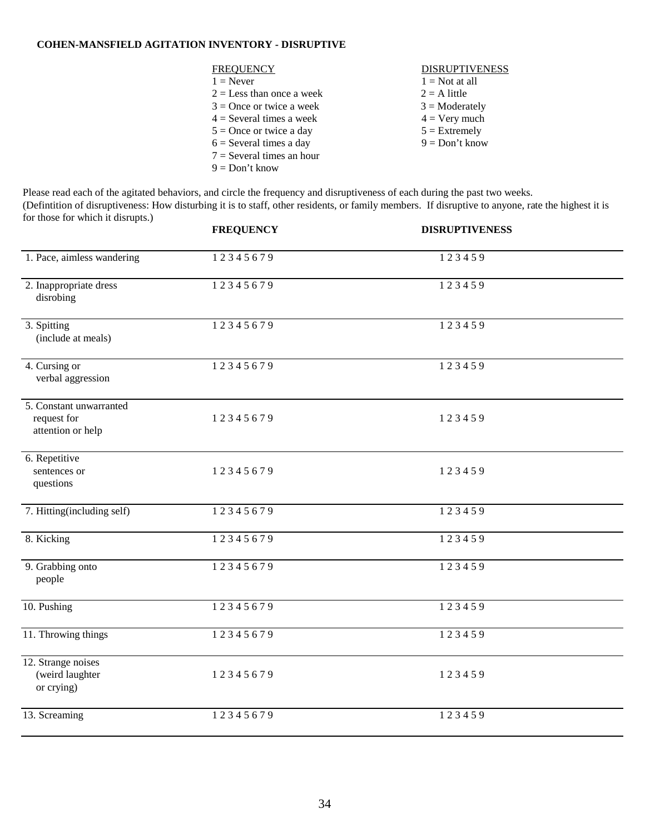#### **COHEN-MANSFIELD AGITATION INVENTORY - DISRUPTIVE**

| <b>FREQUENCY</b>            | <b>DISRUPTIVENESS</b>  |
|-----------------------------|------------------------|
| $1 =$ Never                 | $1 = Not$ at all       |
| $2 =$ Less than once a week | $2 = A$ little         |
| $3 =$ Once or twice a week  | $3 =$ Moderately       |
| $4 =$ Several times a week  | $4 = \text{Very much}$ |
| $5 =$ Once or twice a day   | $5 =$ Extremely        |
| $6 =$ Several times a day   | $9 = Don't know$       |
| $7 =$ Several times an hour |                        |
| $9 = Don't know$            |                        |

Please read each of the agitated behaviors, and circle the frequency and disruptiveness of each during the past two weeks. (Defintition of disruptiveness: How disturbing it is to staff, other residents, or family members. If disruptive to anyone, rate the highest it is for those for which it disrupts.) **FREQUENCY DISRUPTIVENESS**

| 1. Pace, aimless wandering                                  | 12345679 | 123459 |  |
|-------------------------------------------------------------|----------|--------|--|
| 2. Inappropriate dress<br>disrobing                         | 12345679 | 123459 |  |
| 3. Spitting<br>(include at meals)                           | 12345679 | 123459 |  |
| 4. Cursing or<br>verbal aggression                          | 12345679 | 123459 |  |
| 5. Constant unwarranted<br>request for<br>attention or help | 12345679 | 123459 |  |
| 6. Repetitive<br>sentences or<br>questions                  | 12345679 | 123459 |  |
| 7. Hitting(including self)                                  | 12345679 | 123459 |  |
| 8. Kicking                                                  | 12345679 | 123459 |  |
| 9. Grabbing onto<br>people                                  | 12345679 | 123459 |  |
| 10. Pushing                                                 | 12345679 | 123459 |  |
| 11. Throwing things                                         | 12345679 | 123459 |  |
| 12. Strange noises<br>(weird laughter<br>or crying)         | 12345679 | 123459 |  |
| 13. Screaming                                               | 12345679 | 123459 |  |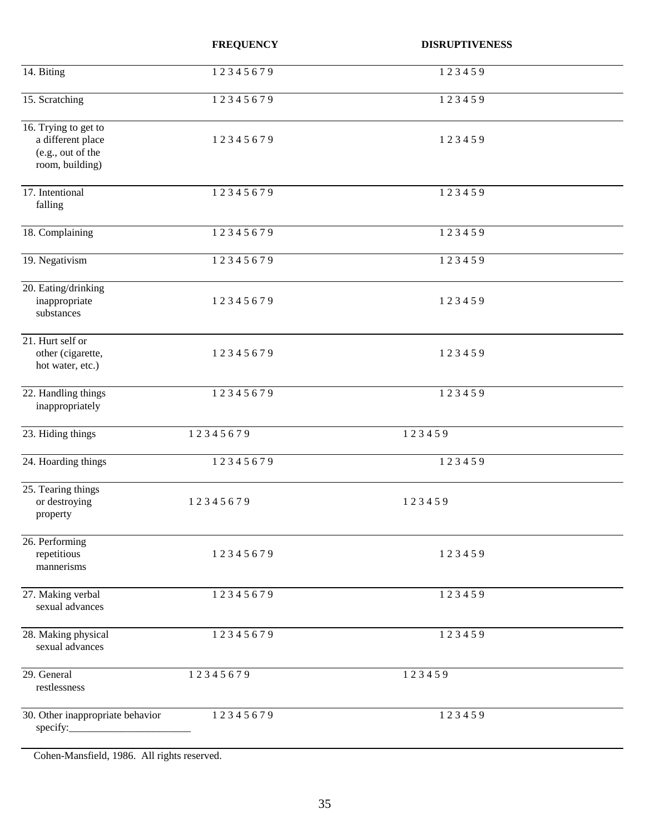|                                                                                   | <b>FREQUENCY</b> | <b>DISRUPTIVENESS</b> |  |
|-----------------------------------------------------------------------------------|------------------|-----------------------|--|
| 14. Biting                                                                        | 12345679         | 123459                |  |
| 15. Scratching                                                                    | 12345679         | 123459                |  |
| 16. Trying to get to<br>a different place<br>(e.g., out of the<br>room, building) | 12345679         | 123459                |  |
| 17. Intentional<br>falling                                                        | 12345679         | 123459                |  |
| 18. Complaining                                                                   | 12345679         | 123459                |  |
| 19. Negativism                                                                    | 12345679         | 123459                |  |
| 20. Eating/drinking<br>inappropriate<br>substances                                | 12345679         | 123459                |  |
| 21. Hurt self or<br>other (cigarette,<br>hot water, etc.)                         | 12345679         | 123459                |  |
| 22. Handling things<br>inappropriately                                            | 12345679         | 123459                |  |
| 23. Hiding things                                                                 | 12345679         | 123459                |  |
| 24. Hoarding things                                                               | 12345679         | 123459                |  |
| 25. Tearing things<br>or destroying<br>property                                   | 12345679         | 123459                |  |
| 26. Performing<br>repetitious<br>mannerisms                                       | 12345679         | 123459                |  |
| 27. Making verbal<br>sexual advances                                              | 12345679         | 123459                |  |
| 28. Making physical<br>sexual advances                                            | 12345679         | 123459                |  |
| 29. General<br>restlessness                                                       | 12345679         | 123459                |  |
| 30. Other inappropriate behavior<br>specify:                                      | 12345679         | 123459                |  |

Cohen-Mansfield, 1986. All rights reserved.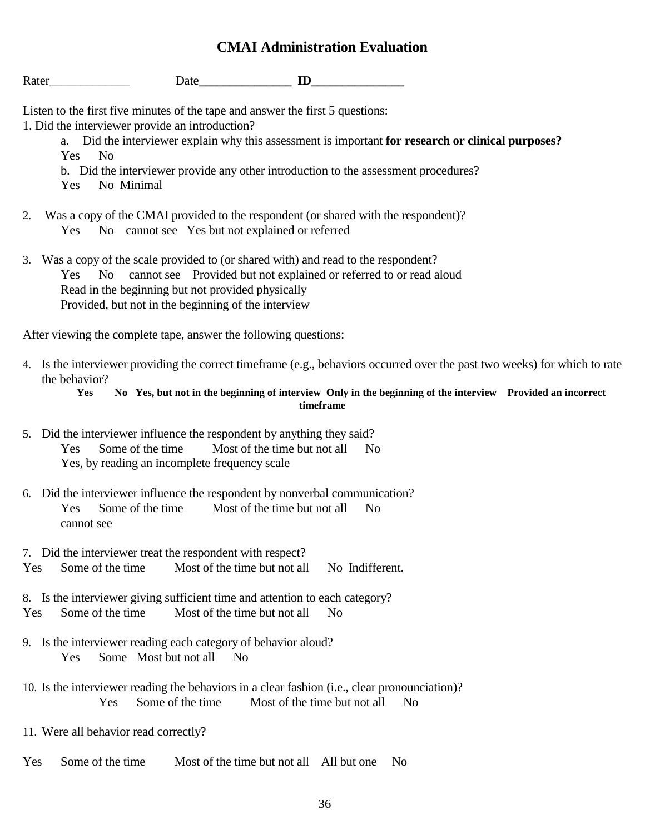## **CMAI Administration Evaluation**

|                  |                                                                                                                                                                                                                                                                              | UMAI Administration Evaluation |                                                                                                                |
|------------------|------------------------------------------------------------------------------------------------------------------------------------------------------------------------------------------------------------------------------------------------------------------------------|--------------------------------|----------------------------------------------------------------------------------------------------------------|
| Rater            | Date and the same state of the state of the state of the state of the state of the state of the state of the state of the state of the state of the state of the state of the state of the state of the state of the state of                                                | $\mathbf{ID}$                  |                                                                                                                |
| No<br>Yes<br>Yes | Listen to the first five minutes of the tape and answer the first 5 questions:<br>1. Did the interviewer provide an introduction?<br>b. Did the interviewer provide any other introduction to the assessment procedures?<br>No Minimal                                       |                                | a. Did the interviewer explain why this assessment is important for research or clinical purposes?             |
|                  | 2. Was a copy of the CMAI provided to the respondent (or shared with the respondent)?<br>Yes No cannot see Yes but not explained or referred                                                                                                                                 |                                |                                                                                                                |
|                  | 3. Was a copy of the scale provided to (or shared with) and read to the respondent?<br>Yes No cannot see Provided but not explained or referred to or read aloud<br>Read in the beginning but not provided physically<br>Provided, but not in the beginning of the interview |                                |                                                                                                                |
|                  | After viewing the complete tape, answer the following questions:                                                                                                                                                                                                             |                                |                                                                                                                |
|                  |                                                                                                                                                                                                                                                                              |                                | 4. Is the interviewer providing the correct timeframe (e.g., behaviors occurred over the past two weeks) for v |

st two weeks) for which to rate the behavior?

#### **Yes No Yes, but not in the beginning of interview Only in the beginning of the interview Provided an incorrect timeframe**

- 5. Did the interviewer influence the respondent by anything they said? Yes Some of the time Most of the time but not all No Yes, by reading an incomplete frequency scale
- 6. Did the interviewer influence the respondent by nonverbal communication? Yes Some of the time Most of the time but not all No cannot see

7. Did the interviewer treat the respondent with respect? Yes Some of the time Most of the time but not all No Indifferent.

8. Is the interviewer giving sufficient time and attention to each category? Yes Some of the time Most of the time but not all No

- 9. Is the interviewer reading each category of behavior aloud? Yes Some Most but not all No
- 10. Is the interviewer reading the behaviors in a clear fashion (i.e., clear pronounciation)? Yes Some of the time Most of the time but not all No
- 11. Were all behavior read correctly?
- Yes Some of the time Most of the time but not all All but one No